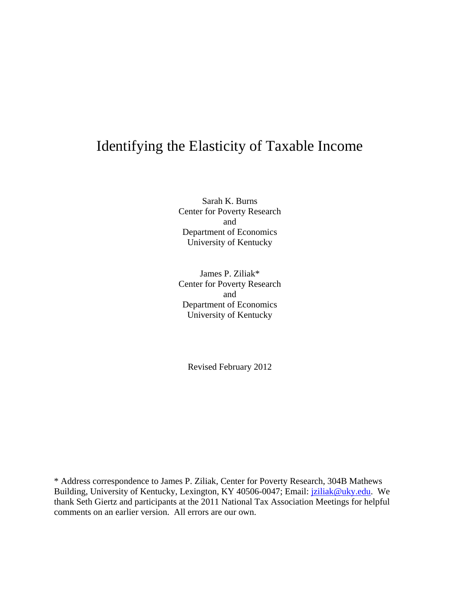# Identifying the Elasticity of Taxable Income

Sarah K. Burns Center for Poverty Research and Department of Economics University of Kentucky

James P. Ziliak\* Center for Poverty Research and Department of Economics University of Kentucky

Revised February 2012

\* Address correspondence to James P. Ziliak, Center for Poverty Research, 304B Mathews Building, University of Kentucky, Lexington, KY 40506-0047; Email: *jziliak@uky.edu.* We thank Seth Giertz and participants at the 2011 National Tax Association Meetings for helpful comments on an earlier version. All errors are our own.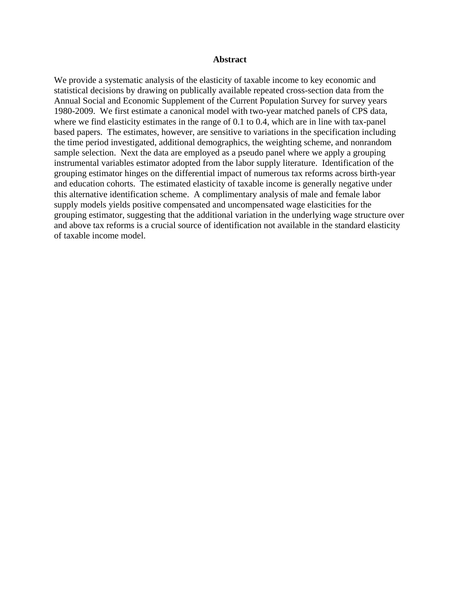## **Abstract**

We provide a systematic analysis of the elasticity of taxable income to key economic and statistical decisions by drawing on publically available repeated cross-section data from the Annual Social and Economic Supplement of the Current Population Survey for survey years 1980-2009. We first estimate a canonical model with two-year matched panels of CPS data, where we find elasticity estimates in the range of 0.1 to 0.4, which are in line with tax-panel based papers. The estimates, however, are sensitive to variations in the specification including the time period investigated, additional demographics, the weighting scheme, and nonrandom sample selection. Next the data are employed as a pseudo panel where we apply a grouping instrumental variables estimator adopted from the labor supply literature. Identification of the grouping estimator hinges on the differential impact of numerous tax reforms across birth-year and education cohorts. The estimated elasticity of taxable income is generally negative under this alternative identification scheme. A complimentary analysis of male and female labor supply models yields positive compensated and uncompensated wage elasticities for the grouping estimator, suggesting that the additional variation in the underlying wage structure over and above tax reforms is a crucial source of identification not available in the standard elasticity of taxable income model.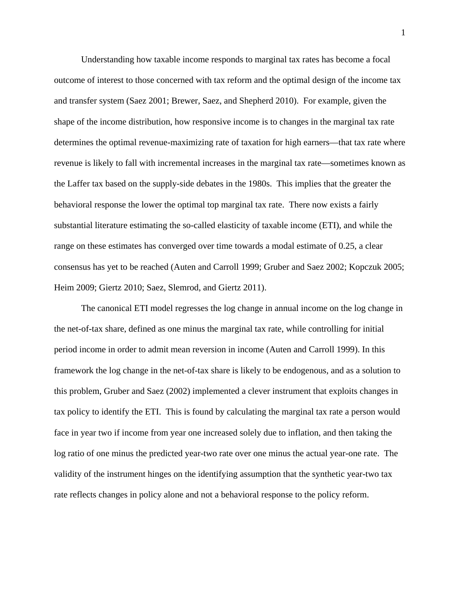Understanding how taxable income responds to marginal tax rates has become a focal outcome of interest to those concerned with tax reform and the optimal design of the income tax and transfer system (Saez 2001; Brewer, Saez, and Shepherd 2010). For example, given the shape of the income distribution, how responsive income is to changes in the marginal tax rate determines the optimal revenue-maximizing rate of taxation for high earners—that tax rate where revenue is likely to fall with incremental increases in the marginal tax rate—sometimes known as the Laffer tax based on the supply-side debates in the 1980s. This implies that the greater the behavioral response the lower the optimal top marginal tax rate. There now exists a fairly substantial literature estimating the so-called elasticity of taxable income (ETI), and while the range on these estimates has converged over time towards a modal estimate of 0.25, a clear consensus has yet to be reached (Auten and Carroll 1999; Gruber and Saez 2002; Kopczuk 2005; Heim 2009; Giertz 2010; Saez, Slemrod, and Giertz 2011).

The canonical ETI model regresses the log change in annual income on the log change in the net-of-tax share, defined as one minus the marginal tax rate, while controlling for initial period income in order to admit mean reversion in income (Auten and Carroll 1999). In this framework the log change in the net-of-tax share is likely to be endogenous, and as a solution to this problem, Gruber and Saez (2002) implemented a clever instrument that exploits changes in tax policy to identify the ETI. This is found by calculating the marginal tax rate a person would face in year two if income from year one increased solely due to inflation, and then taking the log ratio of one minus the predicted year-two rate over one minus the actual year-one rate. The validity of the instrument hinges on the identifying assumption that the synthetic year-two tax rate reflects changes in policy alone and not a behavioral response to the policy reform.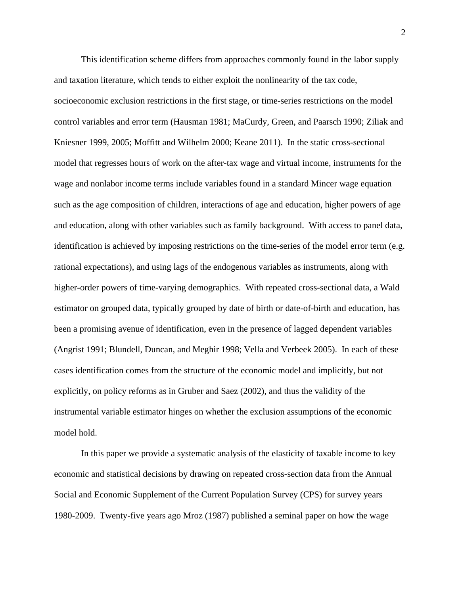This identification scheme differs from approaches commonly found in the labor supply and taxation literature, which tends to either exploit the nonlinearity of the tax code, socioeconomic exclusion restrictions in the first stage, or time-series restrictions on the model control variables and error term (Hausman 1981; MaCurdy, Green, and Paarsch 1990; Ziliak and Kniesner 1999, 2005; Moffitt and Wilhelm 2000; Keane 2011). In the static cross-sectional model that regresses hours of work on the after-tax wage and virtual income, instruments for the wage and nonlabor income terms include variables found in a standard Mincer wage equation such as the age composition of children, interactions of age and education, higher powers of age and education, along with other variables such as family background. With access to panel data, identification is achieved by imposing restrictions on the time-series of the model error term (e.g. rational expectations), and using lags of the endogenous variables as instruments, along with higher-order powers of time-varying demographics. With repeated cross-sectional data, a Wald estimator on grouped data, typically grouped by date of birth or date-of-birth and education, has been a promising avenue of identification, even in the presence of lagged dependent variables (Angrist 1991; Blundell, Duncan, and Meghir 1998; Vella and Verbeek 2005). In each of these cases identification comes from the structure of the economic model and implicitly, but not explicitly, on policy reforms as in Gruber and Saez (2002), and thus the validity of the instrumental variable estimator hinges on whether the exclusion assumptions of the economic model hold.

In this paper we provide a systematic analysis of the elasticity of taxable income to key economic and statistical decisions by drawing on repeated cross-section data from the Annual Social and Economic Supplement of the Current Population Survey (CPS) for survey years 1980-2009. Twenty-five years ago Mroz (1987) published a seminal paper on how the wage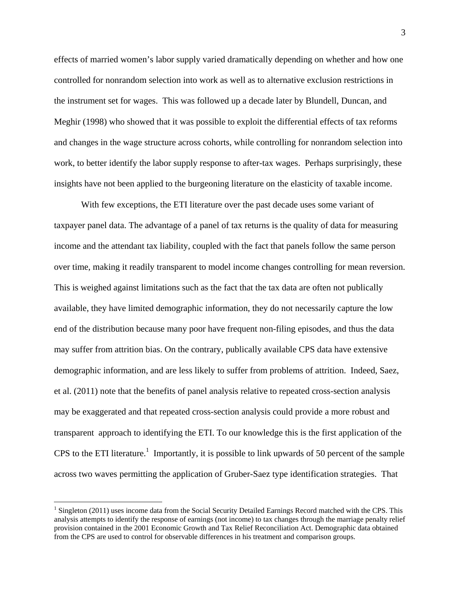effects of married women's labor supply varied dramatically depending on whether and how one controlled for nonrandom selection into work as well as to alternative exclusion restrictions in the instrument set for wages. This was followed up a decade later by Blundell, Duncan, and Meghir (1998) who showed that it was possible to exploit the differential effects of tax reforms and changes in the wage structure across cohorts, while controlling for nonrandom selection into work, to better identify the labor supply response to after-tax wages. Perhaps surprisingly, these insights have not been applied to the burgeoning literature on the elasticity of taxable income.

With few exceptions, the ETI literature over the past decade uses some variant of taxpayer panel data. The advantage of a panel of tax returns is the quality of data for measuring income and the attendant tax liability, coupled with the fact that panels follow the same person over time, making it readily transparent to model income changes controlling for mean reversion. This is weighed against limitations such as the fact that the tax data are often not publically available, they have limited demographic information, they do not necessarily capture the low end of the distribution because many poor have frequent non-filing episodes, and thus the data may suffer from attrition bias. On the contrary, publically available CPS data have extensive demographic information, and are less likely to suffer from problems of attrition. Indeed, Saez, et al. (2011) note that the benefits of panel analysis relative to repeated cross-section analysis may be exaggerated and that repeated cross-section analysis could provide a more robust and transparent approach to identifying the ETI. To our knowledge this is the first application of the CPS to the ETI literature.<sup>1</sup> Importantly, it is possible to link upwards of 50 percent of the sample across two waves permitting the application of Gruber-Saez type identification strategies. That

 $\overline{a}$ 

 $1$  Singleton (2011) uses income data from the Social Security Detailed Earnings Record matched with the CPS. This analysis attempts to identify the response of earnings (not income) to tax changes through the marriage penalty relief provision contained in the 2001 Economic Growth and Tax Relief Reconciliation Act. Demographic data obtained from the CPS are used to control for observable differences in his treatment and comparison groups.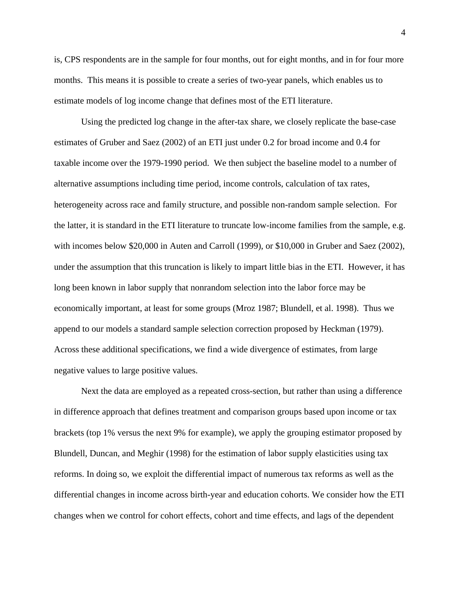is, CPS respondents are in the sample for four months, out for eight months, and in for four more months. This means it is possible to create a series of two-year panels, which enables us to estimate models of log income change that defines most of the ETI literature.

Using the predicted log change in the after-tax share, we closely replicate the base-case estimates of Gruber and Saez (2002) of an ETI just under 0.2 for broad income and 0.4 for taxable income over the 1979-1990 period. We then subject the baseline model to a number of alternative assumptions including time period, income controls, calculation of tax rates, heterogeneity across race and family structure, and possible non-random sample selection. For the latter, it is standard in the ETI literature to truncate low-income families from the sample, e.g. with incomes below \$20,000 in Auten and Carroll (1999), or \$10,000 in Gruber and Saez (2002), under the assumption that this truncation is likely to impart little bias in the ETI. However, it has long been known in labor supply that nonrandom selection into the labor force may be economically important, at least for some groups (Mroz 1987; Blundell, et al. 1998). Thus we append to our models a standard sample selection correction proposed by Heckman (1979). Across these additional specifications, we find a wide divergence of estimates, from large negative values to large positive values.

Next the data are employed as a repeated cross-section, but rather than using a difference in difference approach that defines treatment and comparison groups based upon income or tax brackets (top 1% versus the next 9% for example), we apply the grouping estimator proposed by Blundell, Duncan, and Meghir (1998) for the estimation of labor supply elasticities using tax reforms. In doing so, we exploit the differential impact of numerous tax reforms as well as the differential changes in income across birth-year and education cohorts. We consider how the ETI changes when we control for cohort effects, cohort and time effects, and lags of the dependent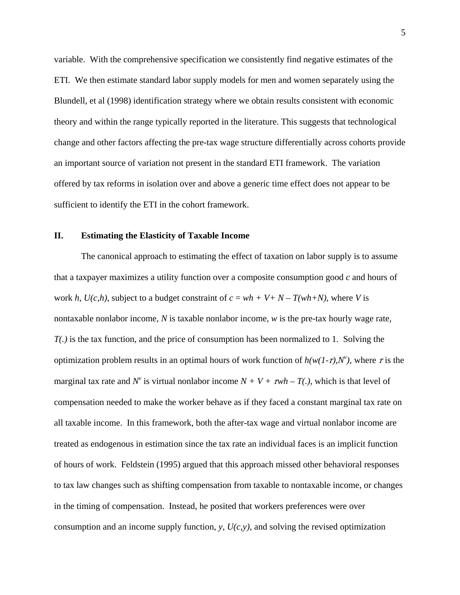variable. With the comprehensive specification we consistently find negative estimates of the ETI. We then estimate standard labor supply models for men and women separately using the Blundell, et al (1998) identification strategy where we obtain results consistent with economic theory and within the range typically reported in the literature. This suggests that technological change and other factors affecting the pre-tax wage structure differentially across cohorts provide an important source of variation not present in the standard ETI framework. The variation offered by tax reforms in isolation over and above a generic time effect does not appear to be sufficient to identify the ETI in the cohort framework.

## **II. Estimating the Elasticity of Taxable Income**

The canonical approach to estimating the effect of taxation on labor supply is to assume that a taxpayer maximizes a utility function over a composite consumption good *c* and hours of work *h*,  $U(c, h)$ , subject to a budget constraint of  $c = wh + V + N - T(wh + N)$ , where *V* is nontaxable nonlabor income, *N* is taxable nonlabor income, *w* is the pre-tax hourly wage rate, *T(.)* is the tax function, and the price of consumption has been normalized to 1. Solving the optimization problem results in an optimal hours of work function of  $h(w(1-\tau),N^{\nu})$ , where  $\tau$  is the marginal tax rate and  $N^{\nu}$  is virtual nonlabor income  $N + V + \tau w h - T(.)$ , which is that level of compensation needed to make the worker behave as if they faced a constant marginal tax rate on all taxable income. In this framework, both the after-tax wage and virtual nonlabor income are treated as endogenous in estimation since the tax rate an individual faces is an implicit function of hours of work. Feldstein (1995) argued that this approach missed other behavioral responses to tax law changes such as shifting compensation from taxable to nontaxable income, or changes in the timing of compensation. Instead, he posited that workers preferences were over consumption and an income supply function, *y*, *U(c,y)*, and solving the revised optimization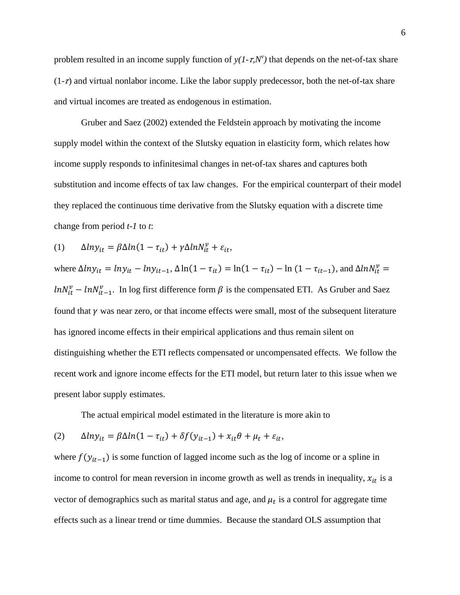problem resulted in an income supply function of  $y(1 - \tau, N^{\nu})$  that depends on the net-of-tax share  $(1-z)$  and virtual nonlabor income. Like the labor supply predecessor, both the net-of-tax share and virtual incomes are treated as endogenous in estimation.

Gruber and Saez (2002) extended the Feldstein approach by motivating the income supply model within the context of the Slutsky equation in elasticity form, which relates how income supply responds to infinitesimal changes in net-of-tax shares and captures both substitution and income effects of tax law changes. For the empirical counterpart of their model they replaced the continuous time derivative from the Slutsky equation with a discrete time change from period *t-1* to *t*:

(1) 
$$
\Delta l n y_{it} = \beta \Delta l n (1 - \tau_{it}) + \gamma \Delta l n N_{it}^{\nu} + \varepsilon_{it},
$$

where  $\Delta l n y_{it} = l n y_{it} - l n y_{it-1}$ ,  $\Delta \ln(1 - \tau_{it}) = \ln(1 - \tau_{it}) - \ln(1 - \tau_{it-1})$ , and  $\Delta l n N_{it}^{\nu} =$  $ln N_{it}^{\nu} - ln N_{it-1}^{\nu}$ . In log first difference form  $\beta$  is the compensated ETI. As Gruber and Saez found that  $\gamma$  was near zero, or that income effects were small, most of the subsequent literature has ignored income effects in their empirical applications and thus remain silent on distinguishing whether the ETI reflects compensated or uncompensated effects. We follow the recent work and ignore income effects for the ETI model, but return later to this issue when we present labor supply estimates.

The actual empirical model estimated in the literature is more akin to

(2) 
$$
\Delta l n y_{it} = \beta \Delta l n (1 - \tau_{it}) + \delta f(y_{it-1}) + x_{it} \theta + \mu_t + \varepsilon_{it},
$$

where  $f(y_{it-1})$  is some function of lagged income such as the log of income or a spline in income to control for mean reversion in income growth as well as trends in inequality,  $x_{it}$  is a vector of demographics such as marital status and age, and  $\mu_t$  is a control for aggregate time effects such as a linear trend or time dummies. Because the standard OLS assumption that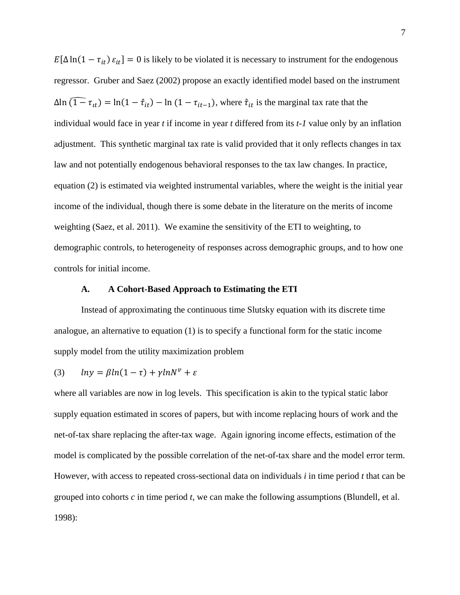$E[\Delta \ln(1 - \tau_{it}) \varepsilon_{it}] = 0$  is likely to be violated it is necessary to instrument for the endogenous regressor. Gruber and Saez (2002) propose an exactly identified model based on the instrument  $\Delta \ln (1 - \tau_{it}) = \ln(1 - \hat{\tau}_{it}) - \ln (1 - \tau_{it-1})$ , where  $\hat{\tau}_{it}$  is the marginal tax rate that the individual would face in year *t* if income in year *t* differed from its *t-1* value only by an inflation adjustment. This synthetic marginal tax rate is valid provided that it only reflects changes in tax law and not potentially endogenous behavioral responses to the tax law changes. In practice, equation (2) is estimated via weighted instrumental variables, where the weight is the initial year income of the individual, though there is some debate in the literature on the merits of income weighting (Saez, et al. 2011). We examine the sensitivity of the ETI to weighting, to demographic controls, to heterogeneity of responses across demographic groups, and to how one controls for initial income.

## **A. A Cohort-Based Approach to Estimating the ETI**

Instead of approximating the continuous time Slutsky equation with its discrete time analogue, an alternative to equation (1) is to specify a functional form for the static income supply model from the utility maximization problem

(3) 
$$
ln y = \beta ln(1 - \tau) + \gamma ln N^v + \varepsilon
$$

where all variables are now in log levels. This specification is akin to the typical static labor supply equation estimated in scores of papers, but with income replacing hours of work and the net-of-tax share replacing the after-tax wage. Again ignoring income effects, estimation of the model is complicated by the possible correlation of the net-of-tax share and the model error term. However, with access to repeated cross-sectional data on individuals *i* in time period *t* that can be grouped into cohorts *c* in time period *t*, we can make the following assumptions (Blundell, et al. 1998):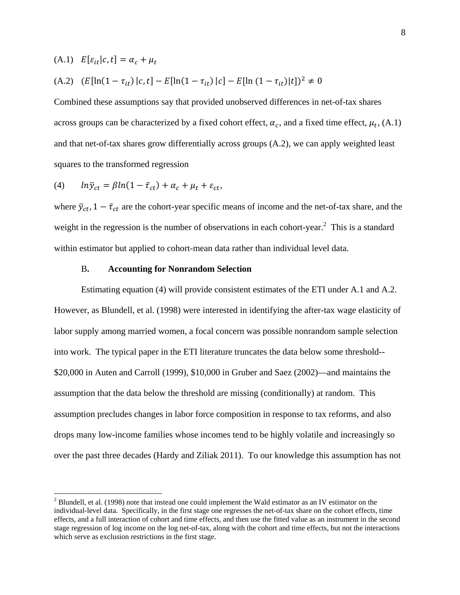$$
(A.1) \quad E[\varepsilon_{it}|c, t] = \alpha_c + \mu_t
$$

1

(A.2) 
$$
(E[\ln(1 - \tau_{it}) | c, t] - E[\ln(1 - \tau_{it}) | c] - E[\ln(1 - \tau_{it}) | t])^2 \neq 0
$$

Combined these assumptions say that provided unobserved differences in net-of-tax shares across groups can be characterized by a fixed cohort effect,  $\alpha_c$ , and a fixed time effect,  $\mu_t$ , (A.1) and that net-of-tax shares grow differentially across groups (A.2), we can apply weighted least squares to the transformed regression

$$
(4) \qquad ln\bar{y}_{ct} = \beta ln(1 - \bar{\tau}_{ct}) + \alpha_c + \mu_t + \varepsilon_{ct},
$$

where  $\bar{y}_{ct}$ ,  $1 - \bar{\tau}_{ct}$  are the cohort-year specific means of income and the net-of-tax share, and the weight in the regression is the number of observations in each cohort-year. $2$  This is a standard within estimator but applied to cohort-mean data rather than individual level data.

### B**. Accounting for Nonrandom Selection**

Estimating equation (4) will provide consistent estimates of the ETI under A.1 and A.2. However, as Blundell, et al. (1998) were interested in identifying the after-tax wage elasticity of labor supply among married women, a focal concern was possible nonrandom sample selection into work. The typical paper in the ETI literature truncates the data below some threshold-- \$20,000 in Auten and Carroll (1999), \$10,000 in Gruber and Saez (2002)—and maintains the assumption that the data below the threshold are missing (conditionally) at random. This assumption precludes changes in labor force composition in response to tax reforms, and also drops many low-income families whose incomes tend to be highly volatile and increasingly so over the past three decades (Hardy and Ziliak 2011). To our knowledge this assumption has not

 $2$  Blundell, et al. (1998) note that instead one could implement the Wald estimator as an IV estimator on the individual-level data. Specifically, in the first stage one regresses the net-of-tax share on the cohort effects, time effects, and a full interaction of cohort and time effects, and then use the fitted value as an instrument in the second stage regression of log income on the log net-of-tax, along with the cohort and time effects, but not the interactions which serve as exclusion restrictions in the first stage.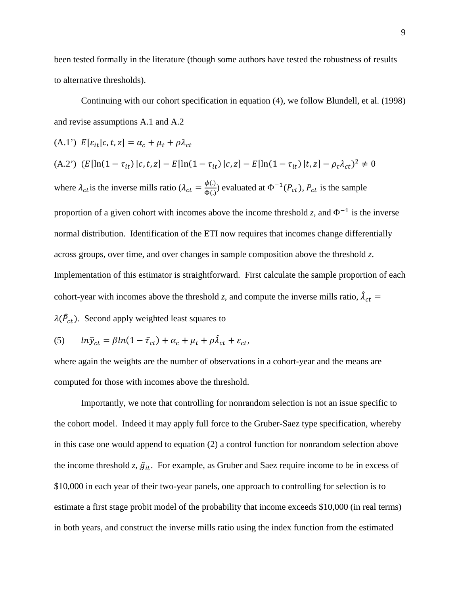been tested formally in the literature (though some authors have tested the robustness of results to alternative thresholds).

Continuing with our cohort specification in equation (4), we follow Blundell, et al. (1998) and revise assumptions A.1 and A.2

(A.1') 
$$
E[\varepsilon_{it}|c, t, z] = \alpha_c + \mu_t + \rho \lambda_{ct}
$$

(A.2') 
$$
(E[\ln(1 - \tau_{it}) | c, t, z] - E[\ln(1 - \tau_{it}) | c, z] - E[\ln(1 - \tau_{it}) | t, z] - \rho_{\tau} \lambda_{ct})^2 \neq 0
$$

where  $\lambda_{ct}$  is the inverse mills ratio ( $\lambda_{ct} = \frac{\phi(.)}{\phi(.)}$ ) evaluated at  $\Phi^{-1}(P_{ct})$ ,  $P_{ct}$  is the sample

proportion of a given cohort with incomes above the income threshold *z*, and  $\Phi^{-1}$  is the inverse normal distribution. Identification of the ETI now requires that incomes change differentially across groups, over time, and over changes in sample composition above the threshold *z*. Implementation of this estimator is straightforward. First calculate the sample proportion of each cohort-year with incomes above the threshold *z*, and compute the inverse mills ratio,  $\hat{\lambda}_{ct}$  =

$$
\lambda(\hat{P}_{ct})
$$
. Second apply weighted least squares to

(5) 
$$
ln \bar{y}_{ct} = \beta ln(1 - \bar{\tau}_{ct}) + \alpha_c + \mu_t + \rho \hat{\lambda}_{ct} + \varepsilon_{ct},
$$

where again the weights are the number of observations in a cohort-year and the means are computed for those with incomes above the threshold.

 Importantly, we note that controlling for nonrandom selection is not an issue specific to the cohort model. Indeed it may apply full force to the Gruber-Saez type specification, whereby in this case one would append to equation (2) a control function for nonrandom selection above the income threshold *z*,  $\hat{g}_{it}$ . For example, as Gruber and Saez require income to be in excess of \$10,000 in each year of their two-year panels, one approach to controlling for selection is to estimate a first stage probit model of the probability that income exceeds \$10,000 (in real terms) in both years, and construct the inverse mills ratio using the index function from the estimated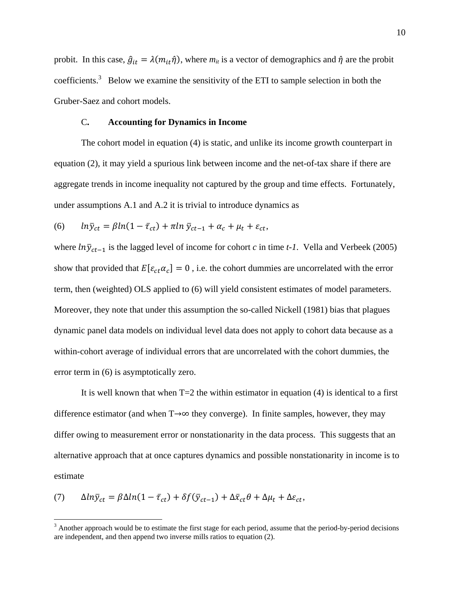probit. In this case,  $\hat{g}_{it} = \lambda(m_{it} \hat{\eta})$ , where  $m_{it}$  is a vector of demographics and  $\hat{\eta}$  are the probit coefficients.<sup>3</sup> Below we examine the sensitivity of the ETI to sample selection in both the Gruber-Saez and cohort models.

#### C**. Accounting for Dynamics in Income**

The cohort model in equation (4) is static, and unlike its income growth counterpart in equation (2), it may yield a spurious link between income and the net-of-tax share if there are aggregate trends in income inequality not captured by the group and time effects. Fortunately, under assumptions A.1 and A.2 it is trivial to introduce dynamics as

(6) 
$$
ln \bar{y}_{ct} = \beta ln(1 - \bar{\tau}_{ct}) + \pi ln \bar{y}_{ct-1} + \alpha_c + \mu_t + \varepsilon_{ct},
$$

where  $ln\bar{y}_{ct-1}$  is the lagged level of income for cohort *c* in time *t-1*. Vella and Verbeek (2005) show that provided that  $E[\varepsilon_{ct} \alpha_c] = 0$ , i.e. the cohort dummies are uncorrelated with the error term, then (weighted) OLS applied to (6) will yield consistent estimates of model parameters. Moreover, they note that under this assumption the so-called Nickell (1981) bias that plagues dynamic panel data models on individual level data does not apply to cohort data because as a within-cohort average of individual errors that are uncorrelated with the cohort dummies, the error term in (6) is asymptotically zero.

It is well known that when  $T=2$  the within estimator in equation (4) is identical to a first difference estimator (and when T→∞ they converge). In finite samples, however, they may differ owing to measurement error or nonstationarity in the data process. This suggests that an alternative approach that at once captures dynamics and possible nonstationarity in income is to estimate

(7) 
$$
\Delta ln \bar{y}_{ct} = \beta \Delta ln (1 - \bar{\tau}_{ct}) + \delta f(\bar{y}_{ct-1}) + \Delta \bar{x}_{ct} \theta + \Delta \mu_t + \Delta \epsilon_{ct},
$$

<sup>&</sup>lt;sup>3</sup> Another approach would be to estimate the first stage for each period, assume that the period-by-period decisions are independent, and then append two inverse mills ratios to equation (2).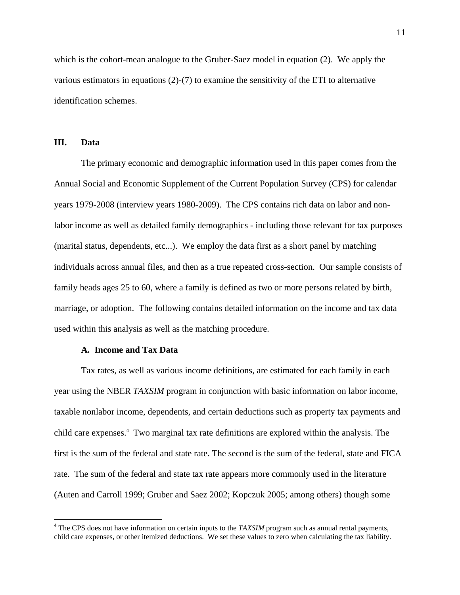which is the cohort-mean analogue to the Gruber-Saez model in equation (2). We apply the various estimators in equations (2)-(7) to examine the sensitivity of the ETI to alternative identification schemes.

## **III. Data**

 $\overline{a}$ 

The primary economic and demographic information used in this paper comes from the Annual Social and Economic Supplement of the Current Population Survey (CPS) for calendar years 1979-2008 (interview years 1980-2009). The CPS contains rich data on labor and nonlabor income as well as detailed family demographics - including those relevant for tax purposes (marital status, dependents, etc...). We employ the data first as a short panel by matching individuals across annual files, and then as a true repeated cross-section. Our sample consists of family heads ages 25 to 60, where a family is defined as two or more persons related by birth, marriage, or adoption. The following contains detailed information on the income and tax data used within this analysis as well as the matching procedure.

## **A. Income and Tax Data**

Tax rates, as well as various income definitions, are estimated for each family in each year using the NBER *TAXSIM* program in conjunction with basic information on labor income, taxable nonlabor income, dependents, and certain deductions such as property tax payments and child care expenses.<sup>4</sup> Two marginal tax rate definitions are explored within the analysis. The first is the sum of the federal and state rate. The second is the sum of the federal, state and FICA rate. The sum of the federal and state tax rate appears more commonly used in the literature (Auten and Carroll 1999; Gruber and Saez 2002; Kopczuk 2005; among others) though some

<sup>&</sup>lt;sup>4</sup> The CPS does not have information on certain inputs to the *TAXSIM* program such as annual rental payments, child care expenses, or other itemized deductions. We set these values to zero when calculating the tax liability.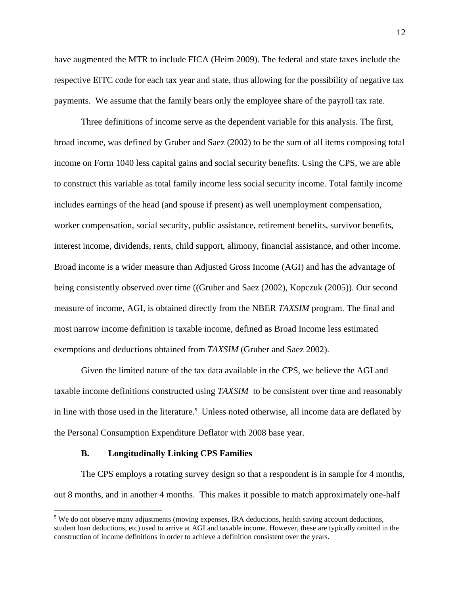have augmented the MTR to include FICA (Heim 2009). The federal and state taxes include the respective EITC code for each tax year and state, thus allowing for the possibility of negative tax payments. We assume that the family bears only the employee share of the payroll tax rate.

Three definitions of income serve as the dependent variable for this analysis. The first, broad income, was defined by Gruber and Saez (2002) to be the sum of all items composing total income on Form 1040 less capital gains and social security benefits. Using the CPS, we are able to construct this variable as total family income less social security income. Total family income includes earnings of the head (and spouse if present) as well unemployment compensation, worker compensation, social security, public assistance, retirement benefits, survivor benefits, interest income, dividends, rents, child support, alimony, financial assistance, and other income. Broad income is a wider measure than Adjusted Gross Income (AGI) and has the advantage of being consistently observed over time ((Gruber and Saez (2002), Kopczuk (2005)). Our second measure of income, AGI, is obtained directly from the NBER *TAXSIM* program. The final and most narrow income definition is taxable income, defined as Broad Income less estimated exemptions and deductions obtained from *TAXSIM* (Gruber and Saez 2002).

Given the limited nature of the tax data available in the CPS, we believe the AGI and taxable income definitions constructed using *TAXSIM* to be consistent over time and reasonably in line with those used in the literature.<sup>5</sup> Unless noted otherwise, all income data are deflated by the Personal Consumption Expenditure Deflator with 2008 base year.

## **B. Longitudinally Linking CPS Families**

 $\overline{a}$ 

The CPS employs a rotating survey design so that a respondent is in sample for 4 months, out 8 months, and in another 4 months. This makes it possible to match approximately one-half

 $<sup>5</sup>$  We do not observe many adjustments (moving expenses, IRA deductions, health saving account deductions,</sup> student loan deductions, etc) used to arrive at AGI and taxable income. However, these are typically omitted in the construction of income definitions in order to achieve a definition consistent over the years.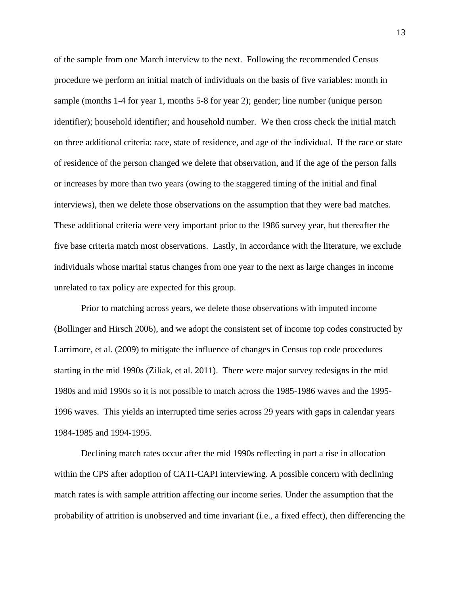of the sample from one March interview to the next. Following the recommended Census procedure we perform an initial match of individuals on the basis of five variables: month in sample (months 1-4 for year 1, months 5-8 for year 2); gender; line number (unique person identifier); household identifier; and household number. We then cross check the initial match on three additional criteria: race, state of residence, and age of the individual. If the race or state of residence of the person changed we delete that observation, and if the age of the person falls or increases by more than two years (owing to the staggered timing of the initial and final interviews), then we delete those observations on the assumption that they were bad matches. These additional criteria were very important prior to the 1986 survey year, but thereafter the five base criteria match most observations. Lastly, in accordance with the literature, we exclude individuals whose marital status changes from one year to the next as large changes in income unrelated to tax policy are expected for this group.

Prior to matching across years, we delete those observations with imputed income (Bollinger and Hirsch 2006), and we adopt the consistent set of income top codes constructed by Larrimore, et al. (2009) to mitigate the influence of changes in Census top code procedures starting in the mid 1990s (Ziliak, et al. 2011). There were major survey redesigns in the mid 1980s and mid 1990s so it is not possible to match across the 1985-1986 waves and the 1995- 1996 waves. This yields an interrupted time series across 29 years with gaps in calendar years 1984-1985 and 1994-1995.

Declining match rates occur after the mid 1990s reflecting in part a rise in allocation within the CPS after adoption of CATI-CAPI interviewing. A possible concern with declining match rates is with sample attrition affecting our income series. Under the assumption that the probability of attrition is unobserved and time invariant (i.e., a fixed effect), then differencing the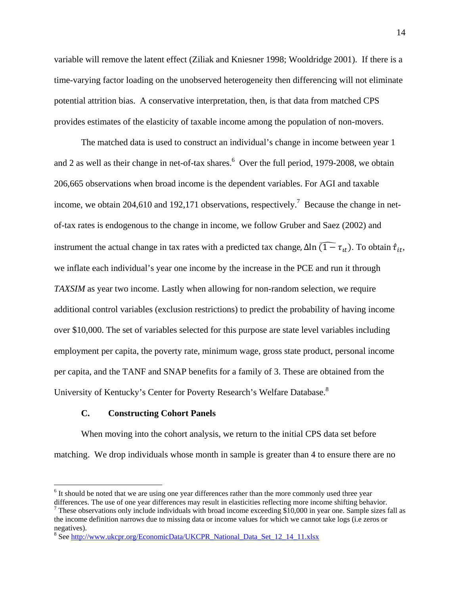variable will remove the latent effect (Ziliak and Kniesner 1998; Wooldridge 2001). If there is a time-varying factor loading on the unobserved heterogeneity then differencing will not eliminate potential attrition bias. A conservative interpretation, then, is that data from matched CPS provides estimates of the elasticity of taxable income among the population of non-movers.

The matched data is used to construct an individual's change in income between year 1 and 2 as well as their change in net-of-tax shares.<sup>6</sup> Over the full period, 1979-2008, we obtain 206,665 observations when broad income is the dependent variables. For AGI and taxable income, we obtain 204,610 and 192,171 observations, respectively.<sup>7</sup> Because the change in netof-tax rates is endogenous to the change in income, we follow Gruber and Saez (2002) and instrument the actual change in tax rates with a predicted tax change,  $\Delta \ln \widehat{(1 - \tau_{it})}$ . To obtain  $\hat{\tau}_{it}$ , we inflate each individual's year one income by the increase in the PCE and run it through *TAXSIM* as year two income. Lastly when allowing for non-random selection, we require additional control variables (exclusion restrictions) to predict the probability of having income over \$10,000. The set of variables selected for this purpose are state level variables including employment per capita, the poverty rate, minimum wage, gross state product, personal income per capita, and the TANF and SNAP benefits for a family of 3. These are obtained from the University of Kentucky's Center for Poverty Research's Welfare Database.8

## **C. Constructing Cohort Panels**

 $\overline{a}$ 

When moving into the cohort analysis, we return to the initial CPS data set before matching. We drop individuals whose month in sample is greater than 4 to ensure there are no

<sup>&</sup>lt;sup>6</sup> It should be noted that we are using one year differences rather than the more commonly used three year differences. The use of one year differences may result in elasticities reflecting more income shifting behavior.

 $^7$  These observations only include individuals with broad income exceeding \$10,000 in year one. Sample sizes fall as the income definition narrows due to missing data or income values for which we cannot take logs (i.e zeros or negatives).

<sup>&</sup>lt;sup>8</sup> See http://www.ukcpr.org/EconomicData/UKCPR\_National\_Data\_Set\_12\_14\_11.xlsx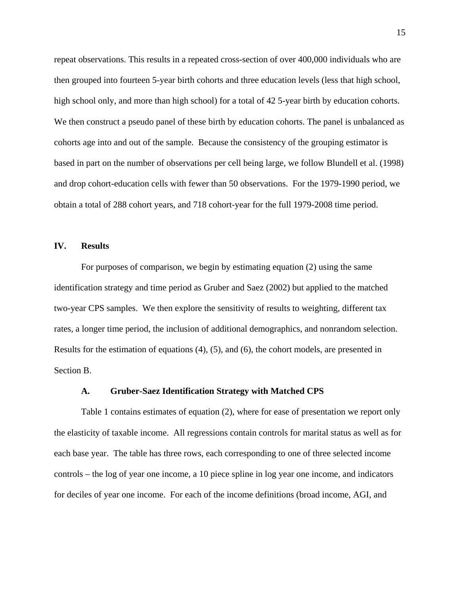repeat observations. This results in a repeated cross-section of over 400,000 individuals who are then grouped into fourteen 5-year birth cohorts and three education levels (less that high school, high school only, and more than high school) for a total of 42 5-year birth by education cohorts. We then construct a pseudo panel of these birth by education cohorts. The panel is unbalanced as cohorts age into and out of the sample. Because the consistency of the grouping estimator is based in part on the number of observations per cell being large, we follow Blundell et al. (1998) and drop cohort-education cells with fewer than 50 observations. For the 1979-1990 period, we obtain a total of 288 cohort years, and 718 cohort-year for the full 1979-2008 time period.

## **IV. Results**

 For purposes of comparison, we begin by estimating equation (2) using the same identification strategy and time period as Gruber and Saez (2002) but applied to the matched two-year CPS samples. We then explore the sensitivity of results to weighting, different tax rates, a longer time period, the inclusion of additional demographics, and nonrandom selection. Results for the estimation of equations (4), (5), and (6), the cohort models, are presented in Section B.

#### **A. Gruber-Saez Identification Strategy with Matched CPS**

Table 1 contains estimates of equation (2), where for ease of presentation we report only the elasticity of taxable income. All regressions contain controls for marital status as well as for each base year. The table has three rows, each corresponding to one of three selected income controls – the log of year one income, a 10 piece spline in log year one income, and indicators for deciles of year one income. For each of the income definitions (broad income, AGI, and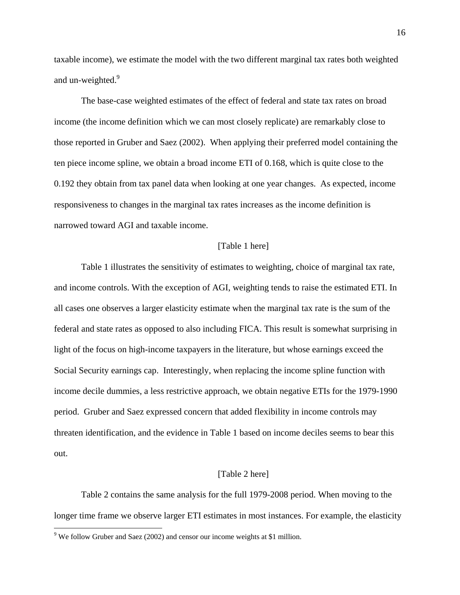taxable income), we estimate the model with the two different marginal tax rates both weighted and un-weighted.<sup>9</sup>

The base-case weighted estimates of the effect of federal and state tax rates on broad income (the income definition which we can most closely replicate) are remarkably close to those reported in Gruber and Saez (2002). When applying their preferred model containing the ten piece income spline, we obtain a broad income ETI of 0.168, which is quite close to the 0.192 they obtain from tax panel data when looking at one year changes. As expected, income responsiveness to changes in the marginal tax rates increases as the income definition is narrowed toward AGI and taxable income.

#### [Table 1 here]

Table 1 illustrates the sensitivity of estimates to weighting, choice of marginal tax rate, and income controls. With the exception of AGI, weighting tends to raise the estimated ETI. In all cases one observes a larger elasticity estimate when the marginal tax rate is the sum of the federal and state rates as opposed to also including FICA. This result is somewhat surprising in light of the focus on high-income taxpayers in the literature, but whose earnings exceed the Social Security earnings cap. Interestingly, when replacing the income spline function with income decile dummies, a less restrictive approach, we obtain negative ETIs for the 1979-1990 period. Gruber and Saez expressed concern that added flexibility in income controls may threaten identification, and the evidence in Table 1 based on income deciles seems to bear this out.

#### [Table 2 here]

Table 2 contains the same analysis for the full 1979-2008 period. When moving to the longer time frame we observe larger ETI estimates in most instances. For example, the elasticity

 $\overline{a}$ 

<sup>&</sup>lt;sup>9</sup> We follow Gruber and Saez (2002) and censor our income weights at \$1 million.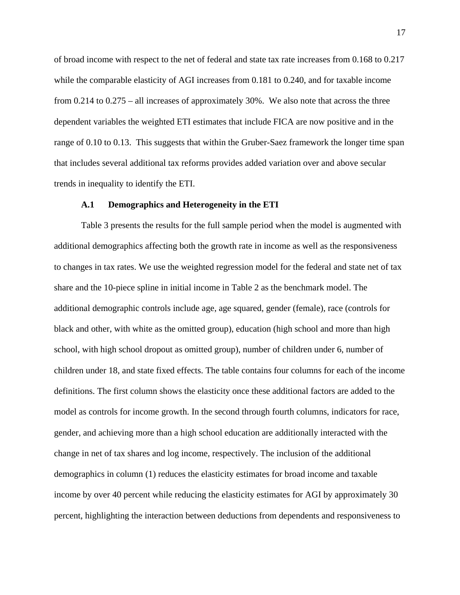of broad income with respect to the net of federal and state tax rate increases from 0.168 to 0.217 while the comparable elasticity of AGI increases from 0.181 to 0.240, and for taxable income from 0.214 to 0.275 – all increases of approximately 30%. We also note that across the three dependent variables the weighted ETI estimates that include FICA are now positive and in the range of 0.10 to 0.13. This suggests that within the Gruber-Saez framework the longer time span that includes several additional tax reforms provides added variation over and above secular trends in inequality to identify the ETI.

#### **A.1 Demographics and Heterogeneity in the ETI**

Table 3 presents the results for the full sample period when the model is augmented with additional demographics affecting both the growth rate in income as well as the responsiveness to changes in tax rates. We use the weighted regression model for the federal and state net of tax share and the 10-piece spline in initial income in Table 2 as the benchmark model. The additional demographic controls include age, age squared, gender (female), race (controls for black and other, with white as the omitted group), education (high school and more than high school, with high school dropout as omitted group), number of children under 6, number of children under 18, and state fixed effects. The table contains four columns for each of the income definitions. The first column shows the elasticity once these additional factors are added to the model as controls for income growth. In the second through fourth columns, indicators for race, gender, and achieving more than a high school education are additionally interacted with the change in net of tax shares and log income, respectively. The inclusion of the additional demographics in column (1) reduces the elasticity estimates for broad income and taxable income by over 40 percent while reducing the elasticity estimates for AGI by approximately 30 percent, highlighting the interaction between deductions from dependents and responsiveness to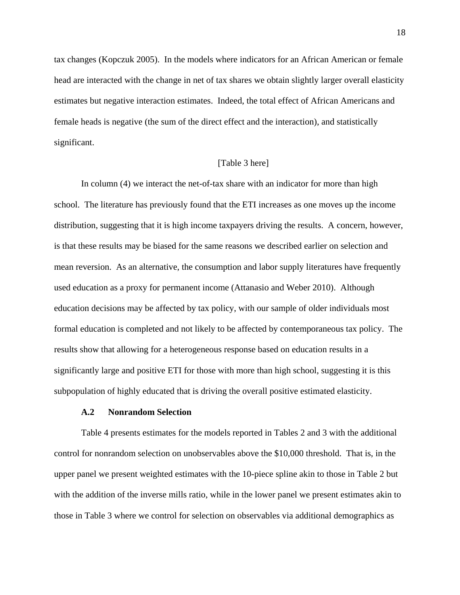tax changes (Kopczuk 2005). In the models where indicators for an African American or female head are interacted with the change in net of tax shares we obtain slightly larger overall elasticity estimates but negative interaction estimates. Indeed, the total effect of African Americans and female heads is negative (the sum of the direct effect and the interaction), and statistically significant.

## [Table 3 here]

In column (4) we interact the net-of-tax share with an indicator for more than high school. The literature has previously found that the ETI increases as one moves up the income distribution, suggesting that it is high income taxpayers driving the results. A concern, however, is that these results may be biased for the same reasons we described earlier on selection and mean reversion. As an alternative, the consumption and labor supply literatures have frequently used education as a proxy for permanent income (Attanasio and Weber 2010). Although education decisions may be affected by tax policy, with our sample of older individuals most formal education is completed and not likely to be affected by contemporaneous tax policy. The results show that allowing for a heterogeneous response based on education results in a significantly large and positive ETI for those with more than high school, suggesting it is this subpopulation of highly educated that is driving the overall positive estimated elasticity.

### **A.2 Nonrandom Selection**

Table 4 presents estimates for the models reported in Tables 2 and 3 with the additional control for nonrandom selection on unobservables above the \$10,000 threshold. That is, in the upper panel we present weighted estimates with the 10-piece spline akin to those in Table 2 but with the addition of the inverse mills ratio, while in the lower panel we present estimates akin to those in Table 3 where we control for selection on observables via additional demographics as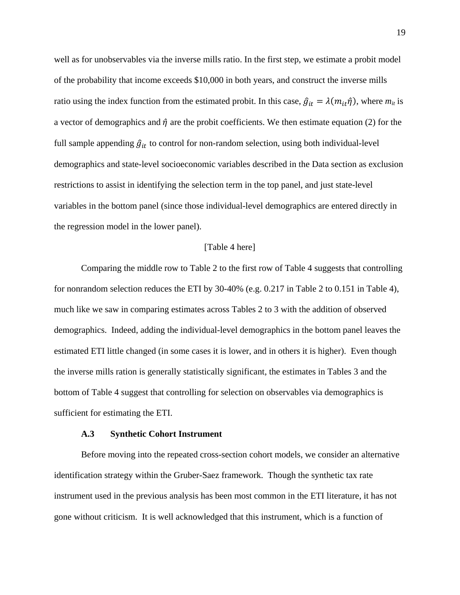well as for unobservables via the inverse mills ratio. In the first step, we estimate a probit model of the probability that income exceeds \$10,000 in both years, and construct the inverse mills ratio using the index function from the estimated probit. In this case,  $\hat{g}_{it} = \lambda(m_{it}\hat{\eta})$ , where  $m_{it}$  is a vector of demographics and  $\hat{\eta}$  are the probit coefficients. We then estimate equation (2) for the full sample appending  $\hat{g}_{it}$  to control for non-random selection, using both individual-level demographics and state-level socioeconomic variables described in the Data section as exclusion restrictions to assist in identifying the selection term in the top panel, and just state-level variables in the bottom panel (since those individual-level demographics are entered directly in the regression model in the lower panel).

#### [Table 4 here]

Comparing the middle row to Table 2 to the first row of Table 4 suggests that controlling for nonrandom selection reduces the ETI by 30-40% (e.g. 0.217 in Table 2 to 0.151 in Table 4), much like we saw in comparing estimates across Tables 2 to 3 with the addition of observed demographics. Indeed, adding the individual-level demographics in the bottom panel leaves the estimated ETI little changed (in some cases it is lower, and in others it is higher). Even though the inverse mills ration is generally statistically significant, the estimates in Tables 3 and the bottom of Table 4 suggest that controlling for selection on observables via demographics is sufficient for estimating the ETI.

## **A.3 Synthetic Cohort Instrument**

Before moving into the repeated cross-section cohort models, we consider an alternative identification strategy within the Gruber-Saez framework. Though the synthetic tax rate instrument used in the previous analysis has been most common in the ETI literature, it has not gone without criticism. It is well acknowledged that this instrument, which is a function of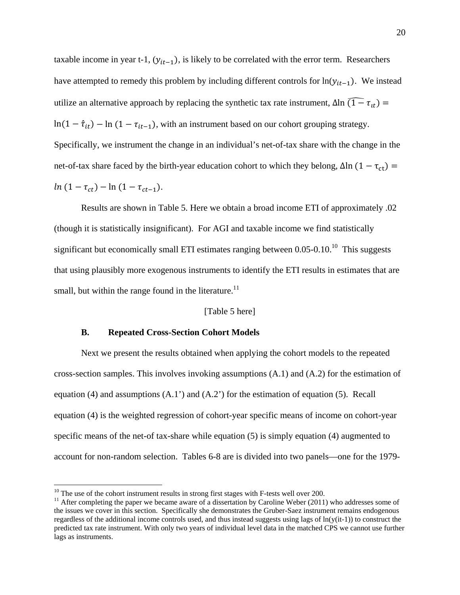taxable income in year t-1,  $(y_{it-1})$ , is likely to be correlated with the error term. Researchers have attempted to remedy this problem by including different controls for  $ln(y_{it-1})$ . We instead utilize an alternative approach by replacing the synthetic tax rate instrument,  $\Delta \ln (1 - \tau_{1t}) =$  $\ln(1 - \hat{\tau}_{it}) - \ln(1 - \tau_{it-1})$ , with an instrument based on our cohort grouping strategy. Specifically, we instrument the change in an individual's net-of-tax share with the change in the net-of-tax share faced by the birth-year education cohort to which they belong,  $Δln(1 - τ<sub>ct</sub>)$  =  $ln(1 - \tau_{ct}) - ln(1 - \tau_{ct-1}).$ 

Results are shown in Table 5. Here we obtain a broad income ETI of approximately .02 (though it is statistically insignificant). For AGI and taxable income we find statistically significant but economically small ETI estimates ranging between  $0.05$ - $0.10$ <sup> $10$ </sup> This suggests that using plausibly more exogenous instruments to identify the ETI results in estimates that are small, but within the range found in the literature.<sup>11</sup>

## [Table 5 here]

## **B. Repeated Cross-Section Cohort Models**

Next we present the results obtained when applying the cohort models to the repeated cross-section samples. This involves invoking assumptions (A.1) and (A.2) for the estimation of equation (4) and assumptions  $(A.1')$  and  $(A.2')$  for the estimation of equation (5). Recall equation (4) is the weighted regression of cohort-year specific means of income on cohort-year specific means of the net-of tax-share while equation (5) is simply equation (4) augmented to account for non-random selection. Tables 6-8 are is divided into two panels—one for the 1979-

 $10$  The use of the cohort instrument results in strong first stages with F-tests well over 200.

<sup>&</sup>lt;sup>11</sup> After completing the paper we became aware of a dissertation by Caroline Weber (2011) who addresses some of the issues we cover in this section. Specifically she demonstrates the Gruber-Saez instrument remains endogenous regardless of the additional income controls used, and thus instead suggests using lags of  $ln(y(it-1))$  to construct the predicted tax rate instrument. With only two years of individual level data in the matched CPS we cannot use further lags as instruments.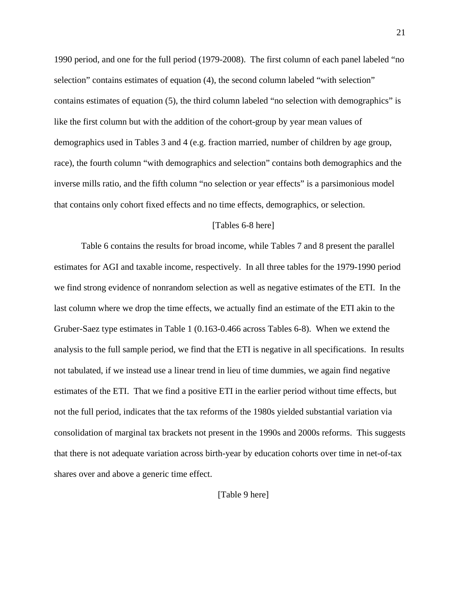1990 period, and one for the full period (1979-2008). The first column of each panel labeled "no selection" contains estimates of equation (4), the second column labeled "with selection" contains estimates of equation (5), the third column labeled "no selection with demographics" is like the first column but with the addition of the cohort-group by year mean values of demographics used in Tables 3 and 4 (e.g. fraction married, number of children by age group, race), the fourth column "with demographics and selection" contains both demographics and the inverse mills ratio, and the fifth column "no selection or year effects" is a parsimonious model that contains only cohort fixed effects and no time effects, demographics, or selection.

#### [Tables 6-8 here]

Table 6 contains the results for broad income, while Tables 7 and 8 present the parallel estimates for AGI and taxable income, respectively. In all three tables for the 1979-1990 period we find strong evidence of nonrandom selection as well as negative estimates of the ETI. In the last column where we drop the time effects, we actually find an estimate of the ETI akin to the Gruber-Saez type estimates in Table 1 (0.163-0.466 across Tables 6-8). When we extend the analysis to the full sample period, we find that the ETI is negative in all specifications. In results not tabulated, if we instead use a linear trend in lieu of time dummies, we again find negative estimates of the ETI. That we find a positive ETI in the earlier period without time effects, but not the full period, indicates that the tax reforms of the 1980s yielded substantial variation via consolidation of marginal tax brackets not present in the 1990s and 2000s reforms. This suggests that there is not adequate variation across birth-year by education cohorts over time in net-of-tax shares over and above a generic time effect.

[Table 9 here]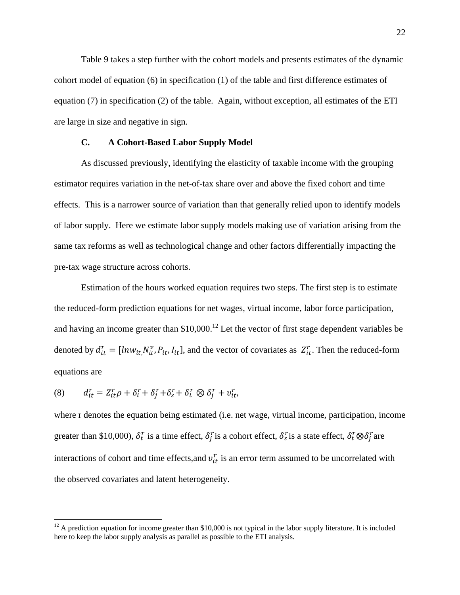Table 9 takes a step further with the cohort models and presents estimates of the dynamic cohort model of equation (6) in specification (1) of the table and first difference estimates of equation (7) in specification (2) of the table. Again, without exception, all estimates of the ETI are large in size and negative in sign.

## **C. A Cohort-Based Labor Supply Model**

As discussed previously, identifying the elasticity of taxable income with the grouping estimator requires variation in the net-of-tax share over and above the fixed cohort and time effects. This is a narrower source of variation than that generally relied upon to identify models of labor supply. Here we estimate labor supply models making use of variation arising from the same tax reforms as well as technological change and other factors differentially impacting the pre-tax wage structure across cohorts.

Estimation of the hours worked equation requires two steps. The first step is to estimate the reduced-form prediction equations for net wages, virtual income, labor force participation, and having an income greater than  $$10,000$ .<sup>12</sup> Let the vector of first stage dependent variables be denoted by  $d_{it}^r = [ln w_{it}, N_{it}^v, P_{it}, I_{it}]$ , and the vector of covariates as  $Z_{it}^r$ . Then the reduced-form equations are

$$
(8) \qquad d_{it}^r = Z_{it}^r \rho + \delta_t^r + \delta_j^r + \delta_s^r + \delta_t^r \otimes \delta_j^r + v_{it}^r,
$$

 $\overline{a}$ 

where r denotes the equation being estimated (i.e. net wage, virtual income, participation, income greater than \$10,000),  $\delta_t^r$  is a time effect,  $\delta_j^r$  is a cohort effect,  $\delta_s^r$  is a state effect,  $\delta_t^r \otimes \delta_j^r$  are interactions of cohort and time effects, and  $v_{it}^r$  is an error term assumed to be uncorrelated with the observed covariates and latent heterogeneity.

 $12$  A prediction equation for income greater than \$10,000 is not typical in the labor supply literature. It is included here to keep the labor supply analysis as parallel as possible to the ETI analysis.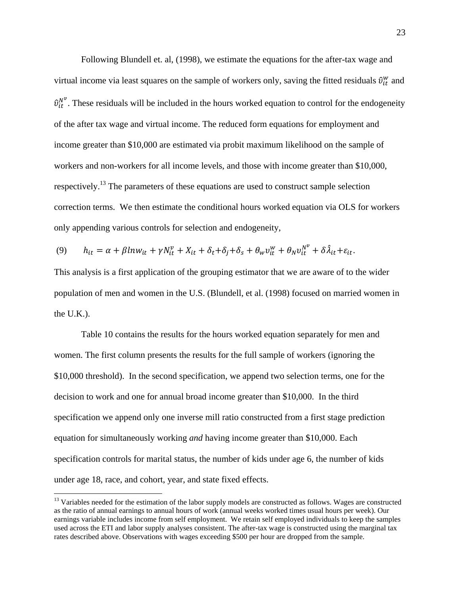Following Blundell et. al, (1998), we estimate the equations for the after-tax wage and virtual income via least squares on the sample of workers only, saving the fitted residuals  $\hat{v}_{it}^w$  and  $\hat{v}_{it}^{N^{\nu}}$ . These residuals will be included in the hours worked equation to control for the endogeneity of the after tax wage and virtual income. The reduced form equations for employment and income greater than \$10,000 are estimated via probit maximum likelihood on the sample of workers and non-workers for all income levels, and those with income greater than \$10,000, respectively.13 The parameters of these equations are used to construct sample selection correction terms. We then estimate the conditional hours worked equation via OLS for workers only appending various controls for selection and endogeneity,

$$
(9) \qquad h_{it} = \alpha + \beta ln w_{it} + \gamma N_{it}^{\nu} + X_{it} + \delta_t + \delta_j + \delta_s + \theta_w v_{it}^{\nu} + \theta_N v_{it}^{\nu} + \delta \hat{\lambda}_{it} + \varepsilon_{it}.
$$

This analysis is a first application of the grouping estimator that we are aware of to the wider population of men and women in the U.S. (Blundell, et al. (1998) focused on married women in the U.K.).

 $\ddot{\phantom{0}}$ 

Table 10 contains the results for the hours worked equation separately for men and women. The first column presents the results for the full sample of workers (ignoring the \$10,000 threshold). In the second specification, we append two selection terms, one for the decision to work and one for annual broad income greater than \$10,000. In the third specification we append only one inverse mill ratio constructed from a first stage prediction equation for simultaneously working *and* having income greater than \$10,000. Each specification controls for marital status, the number of kids under age 6, the number of kids under age 18, race, and cohort, year, and state fixed effects.

 $\overline{a}$ 

<sup>&</sup>lt;sup>13</sup> Variables needed for the estimation of the labor supply models are constructed as follows. Wages are constructed as the ratio of annual earnings to annual hours of work (annual weeks worked times usual hours per week). Our earnings variable includes income from self employment. We retain self employed individuals to keep the samples used across the ETI and labor supply analyses consistent. The after-tax wage is constructed using the marginal tax rates described above. Observations with wages exceeding \$500 per hour are dropped from the sample.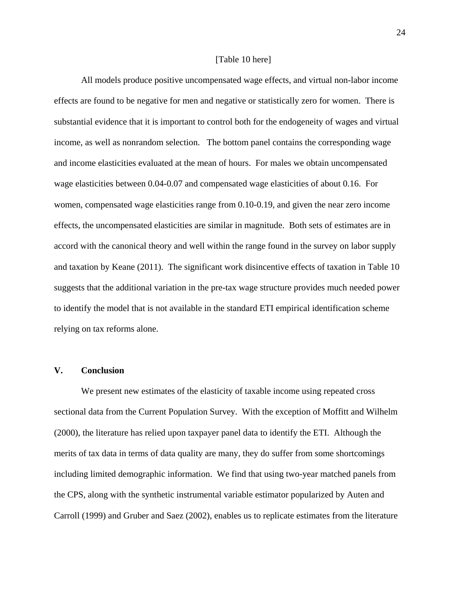#### [Table 10 here]

All models produce positive uncompensated wage effects, and virtual non-labor income effects are found to be negative for men and negative or statistically zero for women. There is substantial evidence that it is important to control both for the endogeneity of wages and virtual income, as well as nonrandom selection. The bottom panel contains the corresponding wage and income elasticities evaluated at the mean of hours. For males we obtain uncompensated wage elasticities between 0.04-0.07 and compensated wage elasticities of about 0.16. For women, compensated wage elasticities range from 0.10-0.19, and given the near zero income effects, the uncompensated elasticities are similar in magnitude. Both sets of estimates are in accord with the canonical theory and well within the range found in the survey on labor supply and taxation by Keane (2011). The significant work disincentive effects of taxation in Table 10 suggests that the additional variation in the pre-tax wage structure provides much needed power to identify the model that is not available in the standard ETI empirical identification scheme relying on tax reforms alone.

## **V. Conclusion**

 We present new estimates of the elasticity of taxable income using repeated cross sectional data from the Current Population Survey. With the exception of Moffitt and Wilhelm (2000), the literature has relied upon taxpayer panel data to identify the ETI. Although the merits of tax data in terms of data quality are many, they do suffer from some shortcomings including limited demographic information. We find that using two-year matched panels from the CPS, along with the synthetic instrumental variable estimator popularized by Auten and Carroll (1999) and Gruber and Saez (2002), enables us to replicate estimates from the literature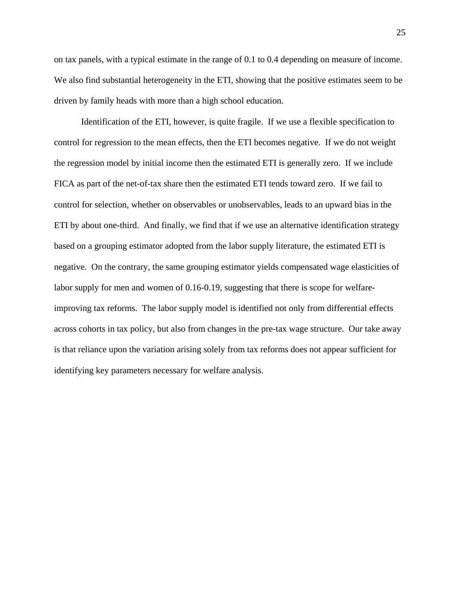on tax panels, with a typical estimate in the range of 0.1 to 0.4 depending on measure of income. We also find substantial heterogeneity in the ETI, showing that the positive estimates seem to be driven by family heads with more than a high school education.

 Identification of the ETI, however, is quite fragile. If we use a flexible specification to control for regression to the mean effects, then the ETI becomes negative. If we do not weight the regression model by initial income then the estimated ETI is generally zero. If we include FICA as part of the net-of-tax share then the estimated ETI tends toward zero. If we fail to control for selection, whether on observables or unobservables, leads to an upward bias in the ETI by about one-third. And finally, we find that if we use an alternative identification strategy based on a grouping estimator adopted from the labor supply literature, the estimated ETI is negative. On the contrary, the same grouping estimator yields compensated wage elasticities of labor supply for men and women of 0.16-0.19, suggesting that there is scope for welfareimproving tax reforms. The labor supply model is identified not only from differential effects across cohorts in tax policy, but also from changes in the pre-tax wage structure. Our take away is that reliance upon the variation arising solely from tax reforms does not appear sufficient for identifying key parameters necessary for welfare analysis.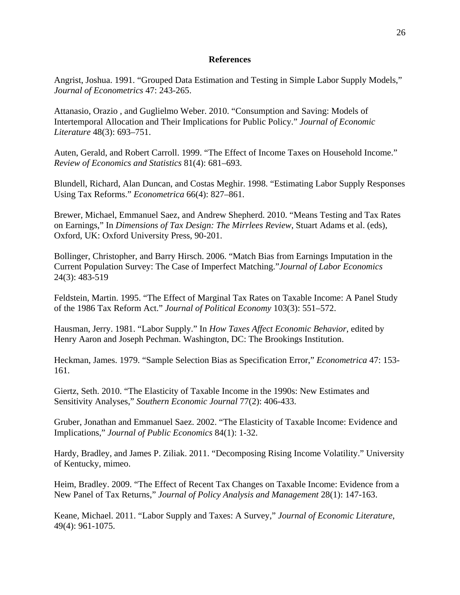## **References**

Angrist, Joshua. 1991. "Grouped Data Estimation and Testing in Simple Labor Supply Models," *Journal of Econometrics* 47: 243-265.

Attanasio, Orazio , and Guglielmo Weber. 2010. "Consumption and Saving: Models of Intertemporal Allocation and Their Implications for Public Policy." *Journal of Economic Literature* 48(3): 693–751.

Auten, Gerald, and Robert Carroll. 1999. "The Effect of Income Taxes on Household Income." *Review of Economics and Statistics* 81(4): 681–693.

Blundell, Richard, Alan Duncan, and Costas Meghir. 1998. "Estimating Labor Supply Responses Using Tax Reforms." *Econometrica* 66(4): 827–861.

Brewer, Michael, Emmanuel Saez, and Andrew Shepherd. 2010. "Means Testing and Tax Rates on Earnings," In *Dimensions of Tax Design: The Mirrlees Review*, Stuart Adams et al. (eds), Oxford, UK: Oxford University Press, 90-201.

Bollinger, Christopher, and Barry Hirsch. 2006. "Match Bias from Earnings Imputation in the Current Population Survey: The Case of Imperfect Matching."*Journal of Labor Economics* 24(3): 483-519

Feldstein, Martin. 1995. "The Effect of Marginal Tax Rates on Taxable Income: A Panel Study of the 1986 Tax Reform Act." *Journal of Political Economy* 103(3): 551–572.

Hausman, Jerry. 1981. "Labor Supply." In *How Taxes Affect Economic Behavior*, edited by Henry Aaron and Joseph Pechman. Washington, DC: The Brookings Institution.

Heckman, James. 1979. "Sample Selection Bias as Specification Error," *Econometrica* 47: 153- 161.

Giertz, Seth. 2010. "The Elasticity of Taxable Income in the 1990s: New Estimates and Sensitivity Analyses," *Southern Economic Journal* 77(2): 406-433.

Gruber, Jonathan and Emmanuel Saez. 2002. "The Elasticity of Taxable Income: Evidence and Implications," *Journal of Public Economics* 84(1): 1-32.

Hardy, Bradley, and James P. Ziliak. 2011. "Decomposing Rising Income Volatility." University of Kentucky, mimeo.

Heim, Bradley. 2009. "The Effect of Recent Tax Changes on Taxable Income: Evidence from a New Panel of Tax Returns," *Journal of Policy Analysis and Management* 28(1): 147-163.

Keane, Michael. 2011. "Labor Supply and Taxes: A Survey," *Journal of Economic Literature*, 49(4): 961-1075.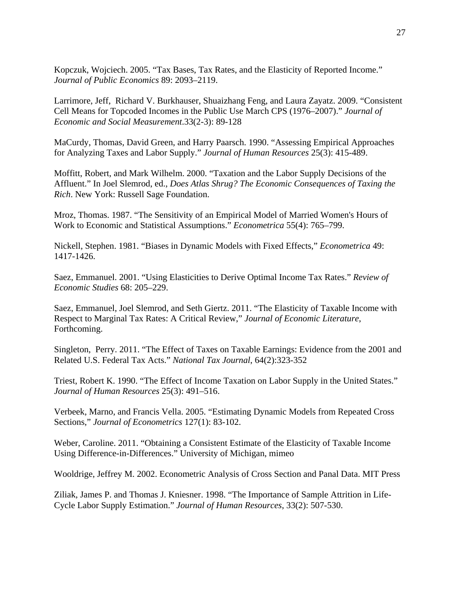Kopczuk, Wojciech. 2005. "Tax Bases, Tax Rates, and the Elasticity of Reported Income." *Journal of Public Economics* 89: 2093–2119.

Larrimore, Jeff, Richard V. Burkhauser, Shuaizhang Feng, and Laura Zayatz. 2009. "Consistent Cell Means for Topcoded Incomes in the Public Use March CPS (1976–2007)." *Journal of Economic and Social Measurement*.33(2-3): 89-128

MaCurdy, Thomas, David Green, and Harry Paarsch. 1990. "Assessing Empirical Approaches for Analyzing Taxes and Labor Supply." *Journal of Human Resources* 25(3): 415-489.

Moffitt, Robert, and Mark Wilhelm. 2000. "Taxation and the Labor Supply Decisions of the Affluent." In Joel Slemrod, ed., *Does Atlas Shrug? The Economic Consequences of Taxing the Rich*. New York: Russell Sage Foundation.

Mroz, Thomas. 1987. "The Sensitivity of an Empirical Model of Married Women's Hours of Work to Economic and Statistical Assumptions." *Econometrica* 55(4): 765–799.

Nickell, Stephen. 1981. "Biases in Dynamic Models with Fixed Effects," *Econometrica* 49: 1417-1426.

Saez, Emmanuel. 2001. "Using Elasticities to Derive Optimal Income Tax Rates." *Review of Economic Studies* 68: 205–229.

Saez, Emmanuel, Joel Slemrod, and Seth Giertz. 2011. "The Elasticity of Taxable Income with Respect to Marginal Tax Rates: A Critical Review," *Journal of Economic Literature*, Forthcoming.

Singleton, Perry. 2011. "The Effect of Taxes on Taxable Earnings: Evidence from the 2001 and Related U.S. Federal Tax Acts." *National Tax Journal*, 64(2):323-352

Triest, Robert K. 1990. "The Effect of Income Taxation on Labor Supply in the United States." *Journal of Human Resources* 25(3): 491–516.

Verbeek, Marno, and Francis Vella. 2005. "Estimating Dynamic Models from Repeated Cross Sections," *Journal of Econometrics* 127(1): 83-102.

Weber, Caroline. 2011. "Obtaining a Consistent Estimate of the Elasticity of Taxable Income Using Difference-in-Differences." University of Michigan, mimeo

Wooldrige, Jeffrey M. 2002. Econometric Analysis of Cross Section and Panal Data. MIT Press

Ziliak, James P. and Thomas J. Kniesner. 1998. "The Importance of Sample Attrition in Life-Cycle Labor Supply Estimation." *Journal of Human Resources*, 33(2): 507-530.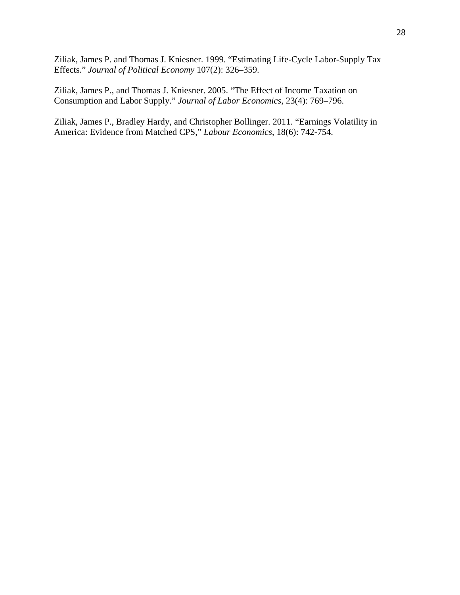Ziliak, James P. and Thomas J. Kniesner. 1999. "Estimating Life-Cycle Labor-Supply Tax Effects." *Journal of Political Economy* 107(2): 326–359.

Ziliak, James P., and Thomas J. Kniesner. 2005. "The Effect of Income Taxation on Consumption and Labor Supply." *Journal of Labor Economics*, 23(4): 769–796.

Ziliak, James P., Bradley Hardy, and Christopher Bollinger. 2011. "Earnings Volatility in America: Evidence from Matched CPS," *Labour Economics*, 18(6): 742-754.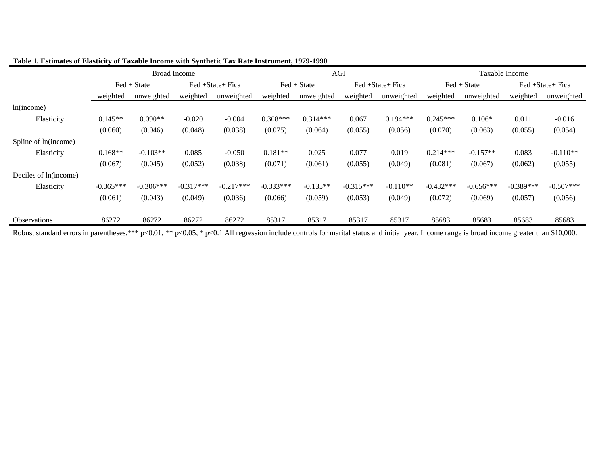|                       |             | <b>Broad Income</b>         |             |                  |             |                             | AGI         |                  | Taxable Income |               |             |                  |
|-----------------------|-------------|-----------------------------|-------------|------------------|-------------|-----------------------------|-------------|------------------|----------------|---------------|-------------|------------------|
|                       |             | $\text{Fed} + \text{State}$ |             | Fed +State+ Fica |             | $\text{Fed} + \text{State}$ |             | Fed +State+ Fica |                | $Fed + State$ |             | Fed +State+ Fica |
|                       | weighted    | unweighted                  | weighted    | unweighted       | weighted    | unweighted                  | weighted    | unweighted       | weighted       | unweighted    | weighted    | unweighted       |
| ln(income)            |             |                             |             |                  |             |                             |             |                  |                |               |             |                  |
| Elasticity            | $0.145**$   | $0.090**$                   | $-0.020$    | $-0.004$         | $0.308***$  | $0.314***$                  | 0.067       | $0.194***$       | $0.245***$     | $0.106*$      | 0.011       | $-0.016$         |
|                       | (0.060)     | (0.046)                     | (0.048)     | (0.038)          | (0.075)     | (0.064)                     | (0.055)     | (0.056)          | (0.070)        | (0.063)       | (0.055)     | (0.054)          |
| Spline of ln(income)  |             |                             |             |                  |             |                             |             |                  |                |               |             |                  |
| Elasticity            | $0.168**$   | $-0.103**$                  | 0.085       | $-0.050$         | $0.181**$   | 0.025                       | 0.077       | 0.019            | $0.214***$     | $-0.157**$    | 0.083       | $-0.110**$       |
|                       | (0.067)     | (0.045)                     | (0.052)     | (0.038)          | (0.071)     | (0.061)                     | (0.055)     | (0.049)          | (0.081)        | (0.067)       | (0.062)     | (0.055)          |
| Deciles of ln(income) |             |                             |             |                  |             |                             |             |                  |                |               |             |                  |
| Elasticity            | $-0.365***$ | $-0.306***$                 | $-0.317***$ | $-0.217***$      | $-0.333***$ | $-0.135**$                  | $-0.315***$ | $-0.110**$       | $-0.432***$    | $-0.656***$   | $-0.389***$ | $-0.507***$      |
|                       | (0.061)     | (0.043)                     | (0.049)     | (0.036)          | (0.066)     | (0.059)                     | (0.053)     | (0.049)          | (0.072)        | (0.069)       | (0.057)     | (0.056)          |
| <b>Observations</b>   | 86272       | 86272                       | 86272       | 86272            | 85317       | 85317                       | 85317       | 85317            | 85683          | 85683         | 85683       | 85683            |

## **Table 1. Estimates of Elasticity of Taxable Income with Synthetic Tax Rate Instrument, 1979-1990**

Robust standard errors in parentheses.\*\*\* p<0.01, \*\* p<0.05, \* p<0.1 All regression include controls for marital status and initial year. Income range is broad income greater than \$10,000.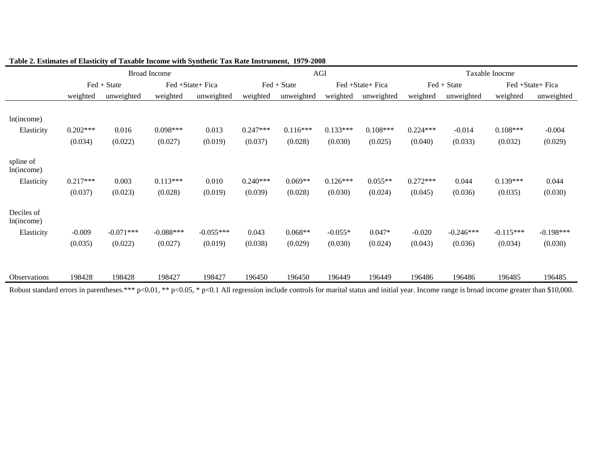|                          |            |               | <b>Broad Income</b> |                  |            |             | AGI        |                  | Taxable Inocme |             |             |                  |
|--------------------------|------------|---------------|---------------------|------------------|------------|-------------|------------|------------------|----------------|-------------|-------------|------------------|
|                          |            | $Fed + State$ |                     | Fed +State+ Fica |            | Fed + State |            | Fed +State+ Fica |                | Fed + State |             | Fed +State+ Fica |
|                          | weighted   | unweighted    | weighted            | unweighted       | weighted   | unweighted  | weighted   | unweighted       | weighted       | unweighted  | weighted    | unweighted       |
| ln(income)               |            |               |                     |                  |            |             |            |                  |                |             |             |                  |
| Elasticity               | $0.202***$ | 0.016         | $0.098***$          | 0.013            | $0.247***$ | $0.116***$  | $0.133***$ | $0.108***$       | $0.224***$     | $-0.014$    | $0.108***$  | $-0.004$         |
|                          | (0.034)    | (0.022)       | (0.027)             | (0.019)          | (0.037)    | (0.028)     | (0.030)    | (0.025)          | (0.040)        | (0.033)     | (0.032)     | (0.029)          |
| spline of<br>ln(income)  |            |               |                     |                  |            |             |            |                  |                |             |             |                  |
| Elasticity               | $0.217***$ | 0.003         | $0.113***$          | 0.010            | $0.240***$ | $0.069**$   | $0.126***$ | $0.055**$        | $0.272***$     | 0.044       | $0.139***$  | 0.044            |
|                          | (0.037)    | (0.023)       | (0.028)             | (0.019)          | (0.039)    | (0.028)     | (0.030)    | (0.024)          | (0.045)        | (0.036)     | (0.035)     | (0.030)          |
| Deciles of<br>ln(income) |            |               |                     |                  |            |             |            |                  |                |             |             |                  |
| Elasticity               | $-0.009$   | $-0.071***$   | $-0.088***$         | $-0.055***$      | 0.043      | $0.068**$   | $-0.055*$  | $0.047*$         | $-0.020$       | $-0.246***$ | $-0.115***$ | $-0.198***$      |
|                          | (0.035)    | (0.022)       | (0.027)             | (0.019)          | (0.038)    | (0.029)     | (0.030)    | (0.024)          | (0.043)        | (0.036)     | (0.034)     | (0.030)          |
|                          |            |               |                     |                  |            |             |            |                  |                |             |             |                  |
| <b>Observations</b>      | 198428     | 198428        | 198427              | 198427           | 196450     | 196450      | 196449     | 196449           | 196486         | 196486      | 196485      | 196485           |

|  | Table 2. Estimates of Elasticity of Taxable Income with Synthetic Tax Rate Instrument, 1979-2008 |  |
|--|--------------------------------------------------------------------------------------------------|--|
|  |                                                                                                  |  |

Robust standard errors in parentheses.\*\*\* p<0.01, \*\* p<0.05, \* p<0.1 All regression include controls for marital status and initial year. Income range is broad income greater than \$10,000.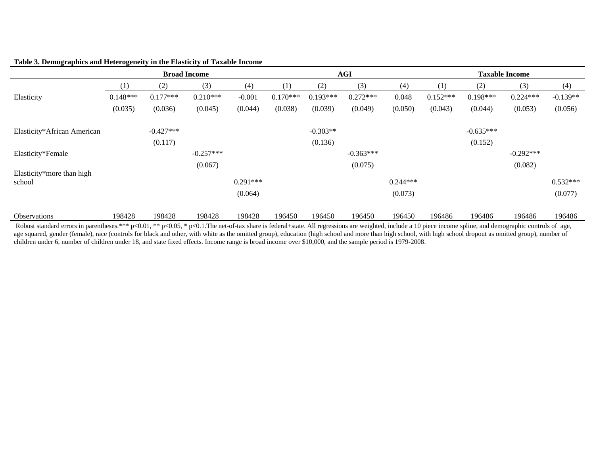|                                     |            |             | <b>Broad Income</b> |            | <b>AGI</b> |            |             |            | <b>Taxable Income</b> |             |             |            |
|-------------------------------------|------------|-------------|---------------------|------------|------------|------------|-------------|------------|-----------------------|-------------|-------------|------------|
|                                     | (1)        | (2)         | (3)                 | (4)        | (1)        | (2)        | (3)         | (4)        | (1)                   | (2)         | (3)         | (4)        |
| Elasticity                          | $0.148***$ | $0.177***$  | $0.210***$          | $-0.001$   | $0.170***$ | $0.193***$ | $0.272***$  | 0.048      | $0.152***$            | $0.198***$  | $0.224***$  | $-0.139**$ |
|                                     | (0.035)    | (0.036)     | (0.045)             | (0.044)    | (0.038)    | (0.039)    | (0.049)     | (0.050)    | (0.043)               | (0.044)     | (0.053)     | (0.056)    |
| Elasticity*African American         |            | $-0.427***$ |                     |            |            | $-0.303**$ |             |            |                       | $-0.635***$ |             |            |
|                                     |            | (0.117)     |                     |            |            | (0.136)    |             |            |                       | (0.152)     |             |            |
| Elasticity*Female                   |            |             | $-0.257***$         |            |            |            | $-0.363***$ |            |                       |             | $-0.292***$ |            |
|                                     |            |             | (0.067)             |            |            |            | (0.075)     |            |                       |             | (0.082)     |            |
| Elasticity*more than high<br>school |            |             |                     | $0.291***$ |            |            |             | $0.244***$ |                       |             |             | $0.532***$ |
|                                     |            |             |                     | (0.064)    |            |            |             | (0.073)    |                       |             |             | (0.077)    |
| <b>Observations</b>                 | 198428     | 198428      | 198428              | 198428     | 196450     | 196450     | 196450      | 196450     | 196486                | 196486      | 196486      | 196486     |

#### **Table 3. Demographics and Heterogeneity in the Elasticity of Taxable Income**

Robust standard errors in parentheses.\*\*\* p<0.01, \*\* p<0.05, \* p<0.1. The net-of-tax share is federal+state. All regressions are weighted, include a 10 piece income spline, and demographic controls of age, age squared, gender (female), race (controls for black and other, with white as the omitted group), education (high school and more than high school, with high school dropout as omitted group), number of children under 6, number of children under 18, and state fixed effects. Income range is broad income over \$10,000, and the sample period is 1979-2008.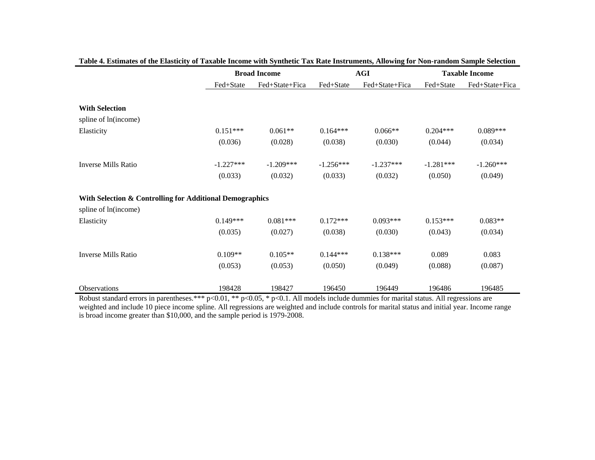|                                                          |             | <b>Broad Income</b> |             | <b>AGI</b>     | <b>Taxable Income</b> |                |  |
|----------------------------------------------------------|-------------|---------------------|-------------|----------------|-----------------------|----------------|--|
|                                                          | Fed+State   | Fed+State+Fica      | Fed+State   | Fed+State+Fica | Fed+State             | Fed+State+Fica |  |
|                                                          |             |                     |             |                |                       |                |  |
| <b>With Selection</b>                                    |             |                     |             |                |                       |                |  |
| spline of ln(income)                                     |             |                     |             |                |                       |                |  |
| Elasticity                                               | $0.151***$  | $0.061**$           | $0.164***$  | $0.066**$      | $0.204***$            | $0.089***$     |  |
|                                                          | (0.036)     | (0.028)             | (0.038)     | (0.030)        | (0.044)               | (0.034)        |  |
|                                                          |             |                     |             |                |                       |                |  |
| <b>Inverse Mills Ratio</b>                               | $-1.227***$ | $-1.209***$         | $-1.256***$ | $-1.237***$    | $-1.281***$           | $-1.260***$    |  |
|                                                          | (0.033)     | (0.032)             | (0.033)     | (0.032)        | (0.050)               | (0.049)        |  |
|                                                          |             |                     |             |                |                       |                |  |
| With Selection & Controlling for Additional Demographics |             |                     |             |                |                       |                |  |
| spline of ln(income)                                     |             |                     |             |                |                       |                |  |
| Elasticity                                               | $0.149***$  | $0.081***$          | $0.172***$  | $0.093***$     | $0.153***$            | $0.083**$      |  |
|                                                          | (0.035)     | (0.027)             | (0.038)     | (0.030)        | (0.043)               | (0.034)        |  |
|                                                          |             |                     |             |                |                       |                |  |
| <b>Inverse Mills Ratio</b>                               | $0.109**$   | $0.105**$           | $0.144***$  | $0.138***$     | 0.089                 | 0.083          |  |
|                                                          | (0.053)     | (0.053)             | (0.050)     | (0.049)        | (0.088)               | (0.087)        |  |
|                                                          |             |                     |             |                |                       |                |  |
| Observations                                             | 198428      | 198427              | 196450      | 196449         | 196486                | 196485         |  |

|  | Table 4. Estimates of the Elasticity of Taxable Income with Synthetic Tax Rate Instruments, Allowing for Non-random Sample Selection |
|--|--------------------------------------------------------------------------------------------------------------------------------------|
|  |                                                                                                                                      |

Robust standard errors in parentheses.\*\*\* p<0.01, \*\* p<0.05, \* p<0.1. All models include dummies for marital status. All regressions are weighted and include 10 piece income spline. All regressions are weighted and include controls for marital status and initial year. Income range is broad income greater than \$10,000, and the sample period is 1979-2008.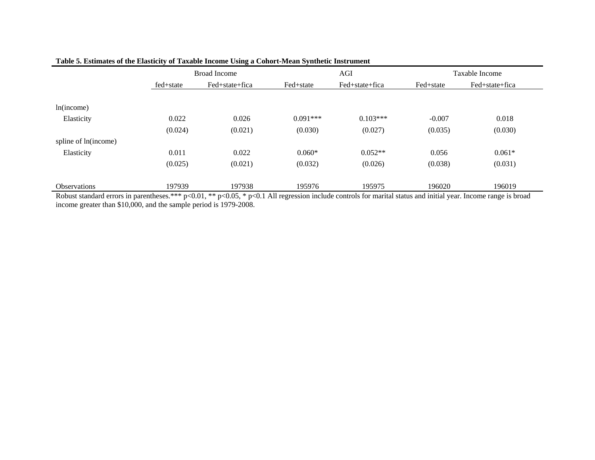|                                                                                                                                                                         |           | <b>Broad Income</b> |            | AGI            |           | Taxable Income |  |  |  |  |
|-------------------------------------------------------------------------------------------------------------------------------------------------------------------------|-----------|---------------------|------------|----------------|-----------|----------------|--|--|--|--|
|                                                                                                                                                                         | fed+state | Fed+state+fica      | Fed+state  | Fed+state+fica | Fed+state | Fed+state+fica |  |  |  |  |
|                                                                                                                                                                         |           |                     |            |                |           |                |  |  |  |  |
| ln(income)                                                                                                                                                              |           |                     |            |                |           |                |  |  |  |  |
| Elasticity                                                                                                                                                              | 0.022     | 0.026               | $0.091***$ | $0.103***$     | $-0.007$  | 0.018          |  |  |  |  |
|                                                                                                                                                                         | (0.024)   | (0.021)             | (0.030)    | (0.027)        | (0.035)   | (0.030)        |  |  |  |  |
| spline of ln(income)                                                                                                                                                    |           |                     |            |                |           |                |  |  |  |  |
| Elasticity                                                                                                                                                              | 0.011     | 0.022               | $0.060*$   | $0.052**$      | 0.056     | $0.061*$       |  |  |  |  |
|                                                                                                                                                                         | (0.025)   | (0.021)             | (0.032)    | (0.026)        | (0.038)   | (0.031)        |  |  |  |  |
|                                                                                                                                                                         |           |                     |            |                |           |                |  |  |  |  |
| <b>Observations</b>                                                                                                                                                     | 197939    | 197938              | 195976     | 195975         | 196020    | 196019         |  |  |  |  |
| Robust standard errors in parentheses.*** $p<0.01$ , ** $p<0.05$ , * $p<0.1$ All regression include controls for marital status and initial year. Income range is broad |           |                     |            |                |           |                |  |  |  |  |

## **Table 5. Estimates of the Elasticity of Taxable Income Using a Cohort-Mean Synthetic Instrument**

income greater than \$10,000, and the sample period is 1979-2008.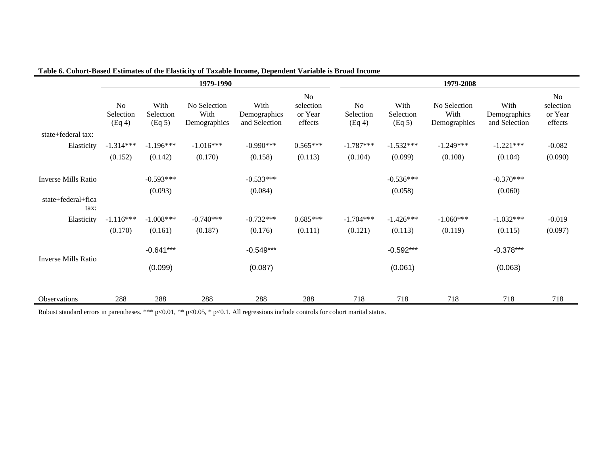|                            |                                       |                             | 1979-1990                            |                                       |                                       | 1979-2008                 |                             |                                      |                                       |                                       |  |  |
|----------------------------|---------------------------------------|-----------------------------|--------------------------------------|---------------------------------------|---------------------------------------|---------------------------|-----------------------------|--------------------------------------|---------------------------------------|---------------------------------------|--|--|
|                            | N <sub>o</sub><br>Selection<br>(Eq 4) | With<br>Selection<br>(Eq 5) | No Selection<br>With<br>Demographics | With<br>Demographics<br>and Selection | No<br>selection<br>or Year<br>effects | No<br>Selection<br>(Eq 4) | With<br>Selection<br>(Eq 5) | No Selection<br>With<br>Demographics | With<br>Demographics<br>and Selection | No<br>selection<br>or Year<br>effects |  |  |
| state+federal tax:         |                                       |                             |                                      |                                       |                                       |                           |                             |                                      |                                       |                                       |  |  |
| Elasticity                 | $-1.314***$                           | $-1.196***$                 | $-1.016***$                          | $-0.990***$                           | $0.565***$                            | $-1.787***$               | $-1.532***$                 | $-1.249***$                          | $-1.221***$                           | $-0.082$                              |  |  |
|                            | (0.152)                               | (0.142)                     | (0.170)                              | (0.158)                               | (0.113)                               | (0.104)                   | (0.099)                     | (0.108)                              | (0.104)                               | (0.090)                               |  |  |
| <b>Inverse Mills Ratio</b> |                                       | $-0.593***$                 |                                      | $-0.533***$                           |                                       |                           | $-0.536***$                 |                                      | $-0.370***$                           |                                       |  |  |
|                            |                                       | (0.093)                     |                                      | (0.084)                               |                                       |                           | (0.058)                     |                                      | (0.060)                               |                                       |  |  |
| state+federal+fica<br>tax: |                                       |                             |                                      |                                       |                                       |                           |                             |                                      |                                       |                                       |  |  |
| Elasticity                 | $-1.116***$                           | $-1.008***$                 | $-0.740***$                          | $-0.732***$                           | $0.685***$                            | $-1.704***$               | $-1.426***$                 | $-1.060***$                          | $-1.032***$                           | $-0.019$                              |  |  |
|                            | (0.170)                               | (0.161)                     | (0.187)                              | (0.176)                               | (0.111)                               | (0.121)                   | (0.113)                     | (0.119)                              | (0.115)                               | (0.097)                               |  |  |
| <b>Inverse Mills Ratio</b> |                                       | $-0.641***$                 |                                      | $-0.549***$                           |                                       |                           | $-0.592***$                 |                                      | $-0.378***$                           |                                       |  |  |
|                            |                                       | (0.099)                     |                                      | (0.087)                               |                                       |                           | (0.061)                     |                                      | (0.063)                               |                                       |  |  |
| <b>Observations</b>        | 288                                   | 288                         | 288                                  | 288                                   | 288                                   | 718                       | 718                         | 718                                  | 718                                   | 718                                   |  |  |

## **Table 6. Cohort-Based Estimates of the Elasticity of Taxable Income, Dependent Variable is Broad Income**

Robust standard errors in parentheses. \*\*\* p<0.01, \*\* p<0.05, \* p<0.1. All regressions include controls for cohort marital status.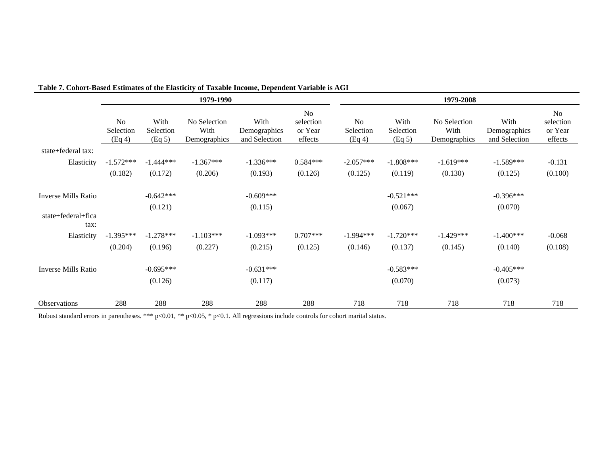|                            |                                       |                             | 1979-1990                            |                                       |                                       | 1979-2008                             |                             |                                      |                                       |                                                   |  |
|----------------------------|---------------------------------------|-----------------------------|--------------------------------------|---------------------------------------|---------------------------------------|---------------------------------------|-----------------------------|--------------------------------------|---------------------------------------|---------------------------------------------------|--|
|                            | N <sub>o</sub><br>Selection<br>(Eq 4) | With<br>Selection<br>(Eq 5) | No Selection<br>With<br>Demographics | With<br>Demographics<br>and Selection | No<br>selection<br>or Year<br>effects | N <sub>o</sub><br>Selection<br>(Eq 4) | With<br>Selection<br>(Eq 5) | No Selection<br>With<br>Demographics | With<br>Demographics<br>and Selection | N <sub>0</sub><br>selection<br>or Year<br>effects |  |
| state+federal tax:         |                                       |                             |                                      |                                       |                                       |                                       |                             |                                      |                                       |                                                   |  |
| Elasticity                 | $-1.572***$                           | $-1.444***$                 | $-1.367***$                          | $-1.336***$                           | $0.584***$                            | $-2.057***$                           | $-1.808***$                 | $-1.619***$                          | $-1.589***$                           | $-0.131$                                          |  |
|                            | (0.182)                               | (0.172)                     | (0.206)                              | (0.193)                               | (0.126)                               | (0.125)                               | (0.119)                     | (0.130)                              | (0.125)                               | (0.100)                                           |  |
| <b>Inverse Mills Ratio</b> |                                       | $-0.642***$                 |                                      | $-0.609***$                           |                                       |                                       | $-0.521***$                 |                                      | $-0.396***$                           |                                                   |  |
|                            |                                       | (0.121)                     |                                      | (0.115)                               |                                       |                                       | (0.067)                     |                                      | (0.070)                               |                                                   |  |
| state+federal+fica<br>tax: |                                       |                             |                                      |                                       |                                       |                                       |                             |                                      |                                       |                                                   |  |
| Elasticity                 | $-1.395***$                           | $-1.278***$                 | $-1.103***$                          | $-1.093***$                           | $0.707***$                            | $-1.994***$                           | $-1.720***$                 | $-1.429***$                          | $-1.400***$                           | $-0.068$                                          |  |
|                            | (0.204)                               | (0.196)                     | (0.227)                              | (0.215)                               | (0.125)                               | (0.146)                               | (0.137)                     | (0.145)                              | (0.140)                               | (0.108)                                           |  |
| <b>Inverse Mills Ratio</b> |                                       | $-0.695***$                 |                                      | $-0.631***$                           |                                       |                                       | $-0.583***$                 |                                      | $-0.405***$                           |                                                   |  |
|                            |                                       | (0.126)                     |                                      | (0.117)                               |                                       |                                       | (0.070)                     |                                      | (0.073)                               |                                                   |  |
| <b>Observations</b>        | 288                                   | 288                         | 288                                  | 288                                   | 288                                   | 718                                   | 718                         | 718                                  | 718                                   | 718                                               |  |

# **Table 7. Cohort-Based Estimates of the Elasticity of Taxable Income, Dependent Variable is AGI**

Robust standard errors in parentheses. \*\*\* p<0.01, \*\* p<0.05, \* p<0.1. All regressions include controls for cohort marital status.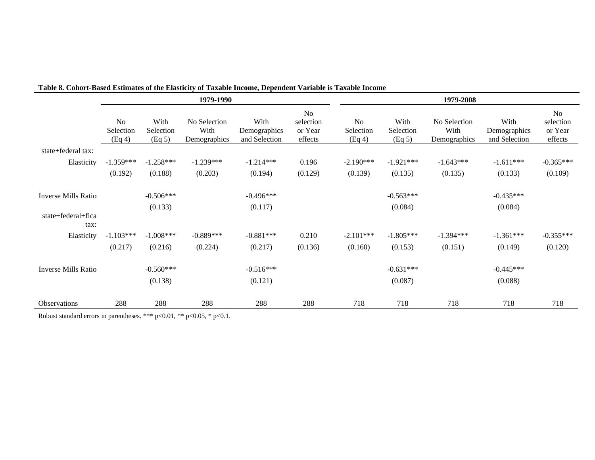|                            |                                       |                             | 1979-1990                            |                                       |                                              | 1979-2008                             |                             |                                      |                                       |                                                   |  |  |
|----------------------------|---------------------------------------|-----------------------------|--------------------------------------|---------------------------------------|----------------------------------------------|---------------------------------------|-----------------------------|--------------------------------------|---------------------------------------|---------------------------------------------------|--|--|
|                            | N <sub>o</sub><br>Selection<br>(Eq 4) | With<br>Selection<br>(Eq 5) | No Selection<br>With<br>Demographics | With<br>Demographics<br>and Selection | <b>No</b><br>selection<br>or Year<br>effects | N <sub>o</sub><br>Selection<br>(Eq 4) | With<br>Selection<br>(Eq 5) | No Selection<br>With<br>Demographics | With<br>Demographics<br>and Selection | N <sub>o</sub><br>selection<br>or Year<br>effects |  |  |
| state+federal tax:         |                                       |                             |                                      |                                       |                                              |                                       |                             |                                      |                                       |                                                   |  |  |
| Elasticity                 | $-1.359***$                           | $-1.258***$                 | $-1.239***$                          | $-1.214***$                           | 0.196                                        | $-2.190***$                           | $-1.921***$                 | $-1.643***$                          | $-1.611***$                           | $-0.365***$                                       |  |  |
|                            | (0.192)                               | (0.188)                     | (0.203)                              | (0.194)                               | (0.129)                                      | (0.139)                               | (0.135)                     | (0.135)                              | (0.133)                               | (0.109)                                           |  |  |
| <b>Inverse Mills Ratio</b> |                                       | $-0.506***$                 |                                      | $-0.496***$                           |                                              |                                       | $-0.563***$                 |                                      | $-0.435***$                           |                                                   |  |  |
|                            |                                       | (0.133)                     |                                      | (0.117)                               |                                              |                                       | (0.084)                     |                                      | (0.084)                               |                                                   |  |  |
| state+federal+fica<br>tax: |                                       |                             |                                      |                                       |                                              |                                       |                             |                                      |                                       |                                                   |  |  |
| Elasticity                 | $-1.103***$                           | $-1.008***$                 | $-0.889***$                          | $-0.881***$                           | 0.210                                        | $-2.101***$                           | $-1.805***$                 | $-1.394***$                          | $-1.361***$                           | $-0.355***$                                       |  |  |
|                            | (0.217)                               | (0.216)                     | (0.224)                              | (0.217)                               | (0.136)                                      | (0.160)                               | (0.153)                     | (0.151)                              | (0.149)                               | (0.120)                                           |  |  |
| <b>Inverse Mills Ratio</b> |                                       | $-0.560***$                 |                                      | $-0.516***$                           |                                              |                                       | $-0.631***$                 |                                      | $-0.445***$                           |                                                   |  |  |
|                            |                                       | (0.138)                     |                                      | (0.121)                               |                                              |                                       | (0.087)                     |                                      | (0.088)                               |                                                   |  |  |
| <b>Observations</b>        | 288                                   | 288                         | 288                                  | 288                                   | 288                                          | 718                                   | 718                         | 718                                  | 718                                   | 718                                               |  |  |

## **Table 8. Cohort-Based Estimates of the Elasticity of Taxable Income, Dependent Variable is Taxable Income**

Robust standard errors in parentheses. \*\*\* p<0.01, \*\* p<0.05, \* p<0.1.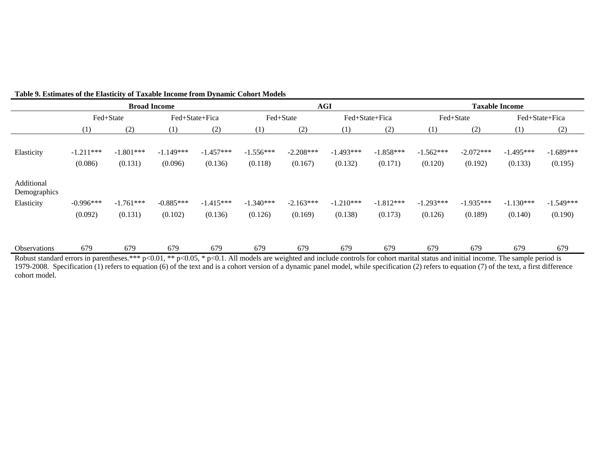|                            |                        |                        | <b>Broad Income</b>    |                        |                        |                        | <b>AGI</b>             |                        | <b>Taxable Income</b>  |                        |                        |                        |
|----------------------------|------------------------|------------------------|------------------------|------------------------|------------------------|------------------------|------------------------|------------------------|------------------------|------------------------|------------------------|------------------------|
|                            |                        | Fed+State              | Fed+State+Fica         |                        |                        | Fed+State              |                        | Fed+State+Fica         |                        | Fed+State              |                        | Fed+State+Fica         |
|                            | (1)                    | (2)                    | (1)                    | (2)                    | (1)                    | (2)                    | (1)                    | (2)                    | (1)                    | (2)                    | (1)                    | (2)                    |
| Elasticity                 | $-1.211***$<br>(0.086) | $-1.801***$<br>(0.131) | $-1.149***$<br>(0.096) | $-1.457***$<br>(0.136) | $-1.556***$<br>(0.118) | $-2.208***$<br>(0.167) | $-1.493***$<br>(0.132) | $-1.858***$<br>(0.171) | $-1.562***$<br>(0.120) | $-2.072***$<br>(0.192) | $-1.495***$<br>(0.133) | $-1.689***$<br>(0.195) |
| Additional<br>Demographics |                        |                        |                        |                        |                        |                        |                        |                        |                        |                        |                        |                        |
| Elasticity                 | $-0.996***$            | $-1.761***$            | $-0.885***$            | $-1.415***$            | $-1.340***$            | $-2.163***$            | $-1.210***$            | $-1.812***$            | $-1.293***$            | $-1.935***$            | $-1.130***$            | $-1.549***$            |
|                            | (0.092)                | (0.131)                | (0.102)                | (0.136)                | (0.126)                | (0.169)                | (0.138)                | (0.173)                | (0.126)                | (0.189)                | (0.140)                | (0.190)                |
| Observations               | 679                    | 679                    | 679                    | 679                    | 679                    | 679                    | 679                    | 679                    | 679                    | 679                    | 679                    | 679                    |

#### **Table 9. Estimates of the Elasticity of Taxable Income from Dynamic Cohort Models**

Robust standard errors in parentheses.\*\*\* p<0.01, \*\* p<0.05, \* p<0.1. All models are weighted and include controls for cohort marital status and initial income. The sample period is 1979-2008. Specification (1) refers to equation (6) of the text and is a cohort version of a dynamic panel model, while specification (2) refers to equation (7) of the text, a first difference cohort model.